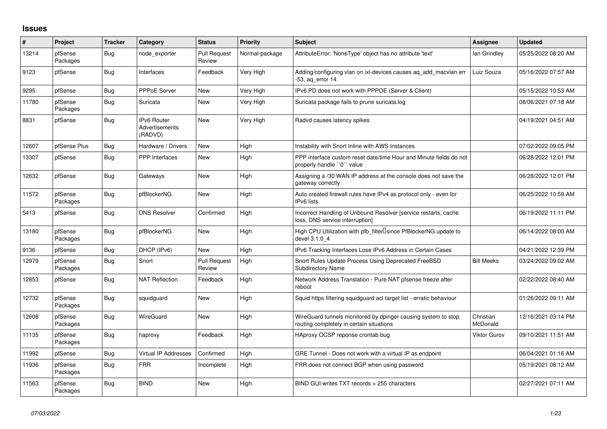## **Issues**

| ∦     | Project             | <b>Tracker</b> | Category                                        | <b>Status</b>                 | <b>Priority</b> | <b>Subject</b>                                                                                            | <b>Assignee</b>       | <b>Updated</b>      |
|-------|---------------------|----------------|-------------------------------------------------|-------------------------------|-----------------|-----------------------------------------------------------------------------------------------------------|-----------------------|---------------------|
| 13214 | pfSense<br>Packages | Bug            | node exporter                                   | <b>Pull Request</b><br>Review | Normal-package  | AttributeError: 'NoneType' object has no attribute 'text'                                                 | lan Grindley          | 05/25/2022 08:20 AM |
| 9123  | pfSense             | Bug            | Interfaces                                      | Feedback                      | Very High       | Adding/configuring vlan on ixl-devices causes ag add macvlan err<br>-53, ag error 14                      | Luiz Souza            | 05/16/2022 07:57 AM |
| 9295  | pfSense             | <b>Bug</b>     | PPPoE Server                                    | New                           | Very High       | IPv6 PD does not work with PPPOE (Server & Client)                                                        |                       | 05/15/2022 10:53 AM |
| 11780 | pfSense<br>Packages | Bug            | Suricata                                        | New                           | Very High       | Suricata package fails to prune suricata.log                                                              |                       | 08/06/2021 07:18 AM |
| 8831  | pfSense             | Bug            | <b>IPv6 Router</b><br>Advertisements<br>(RADVD) | New                           | Very High       | Radvd causes latency spikes                                                                               |                       | 04/19/2021 04:51 AM |
| 12607 | pfSense Plus        | <b>Bug</b>     | Hardware / Drivers                              | <b>New</b>                    | High            | Instability with Snort Inline with AWS Instances                                                          |                       | 07/02/2022 09:05 PM |
| 13307 | pfSense             | Bug            | <b>PPP</b> Interfaces                           | New                           | High            | PPP interface custom reset date/time Hour and Minute fields do not<br>properly handle "0" value           |                       | 06/28/2022 12:01 PM |
| 12632 | pfSense             | Bug            | Gateways                                        | New                           | High            | Assigning a /30 WAN IP address at the console does not save the<br>gateway correctly                      |                       | 06/28/2022 12:01 PM |
| 11572 | pfSense<br>Packages | Bug            | pfBlockerNG                                     | New                           | High            | Auto created firewall rules have IPv4 as protocol only - even for<br>IPv6 lists.                          |                       | 06/25/2022 10:59 AM |
| 5413  | pfSense             | Bug            | <b>DNS Resolver</b>                             | Confirmed                     | High            | Incorrect Handling of Unbound Resolver [service restarts, cache<br>loss, DNS service interruption]        |                       | 06/19/2022 11:11 PM |
| 13180 | pfSense<br>Packages | Bug            | pfBlockerNG                                     | New                           | High            | High CPU Utilization with pfb_filter <sup>[]</sup> since PfBlockerNG update to<br>devel 3.1.0 4           |                       | 06/14/2022 08:00 AM |
| 9136  | pfSense             | Bug            | DHCP (IPv6)                                     | New                           | High            | IPv6 Tracking Interfaces Lose IPv6 Address in Certain Cases                                               |                       | 04/21/2022 12:39 PM |
| 12979 | pfSense<br>Packages | Bug            | Snort                                           | <b>Pull Request</b><br>Review | High            | Snort Rules Update Process Using Deprecated FreeBSD<br><b>Subdirectory Name</b>                           | <b>Bill Meeks</b>     | 03/24/2022 09:02 AM |
| 12853 | pfSense             | Bug            | <b>NAT Reflection</b>                           | Feedback                      | High            | Network Address Translation - Pure NAT pfsense freeze after<br>reboot                                     |                       | 02/22/2022 08:40 AM |
| 12732 | pfSense<br>Packages | <b>Bug</b>     | squidguard                                      | New                           | High            | Squid https filtering squidguard acl target list - erratic behaviour                                      |                       | 01/26/2022 09:11 AM |
| 12608 | pfSense<br>Packages | Bug            | WireGuard                                       | New                           | High            | WireGuard tunnels monitored by dpinger causing system to stop<br>routing completely in certain situations | Christian<br>McDonald | 12/16/2021 03:14 PM |
| 11135 | pfSense<br>Packages | Bug            | haproxy                                         | Feedback                      | High            | HAproxy OCSP reponse crontab bug                                                                          | Viktor Gurov          | 09/10/2021 11:51 AM |
| 11992 | pfSense             | <b>Bug</b>     | Virtual IP Addresses                            | Confirmed                     | High            | GRE Tunnel - Does not work with a virtual IP as endpoint                                                  |                       | 06/04/2021 01:16 AM |
| 11936 | pfSense<br>Packages | Bug            | <b>FRR</b>                                      | Incomplete                    | High            | FRR does not connect BGP when using password                                                              |                       | 05/19/2021 08:12 AM |
| 11563 | pfSense<br>Packages | Bug            | <b>BIND</b>                                     | <b>New</b>                    | High            | BIND GUI writes TXT records > 255 characters                                                              |                       | 02/27/2021 07:11 AM |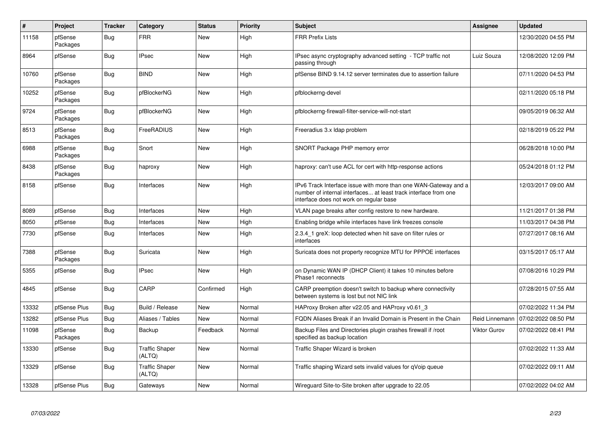| $\pmb{\#}$ | Project             | <b>Tracker</b> | Category                        | <b>Status</b> | <b>Priority</b> | <b>Subject</b>                                                                                                                                                                | <b>Assignee</b>     | <b>Updated</b>      |
|------------|---------------------|----------------|---------------------------------|---------------|-----------------|-------------------------------------------------------------------------------------------------------------------------------------------------------------------------------|---------------------|---------------------|
| 11158      | pfSense<br>Packages | <b>Bug</b>     | <b>FRR</b>                      | <b>New</b>    | High            | <b>FRR Prefix Lists</b>                                                                                                                                                       |                     | 12/30/2020 04:55 PM |
| 8964       | pfSense             | Bug            | <b>IPsec</b>                    | New           | High            | IPsec async cryptography advanced setting - TCP traffic not<br>passing through                                                                                                | Luiz Souza          | 12/08/2020 12:09 PM |
| 10760      | pfSense<br>Packages | <b>Bug</b>     | <b>BIND</b>                     | <b>New</b>    | High            | pfSense BIND 9.14.12 server terminates due to assertion failure                                                                                                               |                     | 07/11/2020 04:53 PM |
| 10252      | pfSense<br>Packages | Bug            | pfBlockerNG                     | <b>New</b>    | High            | pfblockerng-devel                                                                                                                                                             |                     | 02/11/2020 05:18 PM |
| 9724       | pfSense<br>Packages | <b>Bug</b>     | pfBlockerNG                     | <b>New</b>    | High            | pfblockerng-firewall-filter-service-will-not-start                                                                                                                            |                     | 09/05/2019 06:32 AM |
| 8513       | pfSense<br>Packages | <b>Bug</b>     | FreeRADIUS                      | <b>New</b>    | High            | Freeradius 3.x Idap problem                                                                                                                                                   |                     | 02/18/2019 05:22 PM |
| 6988       | pfSense<br>Packages | <b>Bug</b>     | Snort                           | <b>New</b>    | High            | SNORT Package PHP memory error                                                                                                                                                |                     | 06/28/2018 10:00 PM |
| 8438       | pfSense<br>Packages | <b>Bug</b>     | haproxy                         | <b>New</b>    | High            | haproxy: can't use ACL for cert with http-response actions                                                                                                                    |                     | 05/24/2018 01:12 PM |
| 8158       | pfSense             | Bug            | Interfaces                      | <b>New</b>    | High            | IPv6 Track Interface issue with more than one WAN-Gateway and a<br>number of internal interfaces at least track interface from one<br>interface does not work on regular base |                     | 12/03/2017 09:00 AM |
| 8089       | pfSense             | <b>Bug</b>     | Interfaces                      | New           | High            | VLAN page breaks after config restore to new hardware.                                                                                                                        |                     | 11/21/2017 01:38 PM |
| 8050       | pfSense             | <b>Bug</b>     | Interfaces                      | New           | High            | Enabling bridge while interfaces have link freezes console                                                                                                                    |                     | 11/03/2017 04:38 PM |
| 7730       | pfSense             | <b>Bug</b>     | Interfaces                      | New           | High            | 2.3.4 1 greX: loop detected when hit save on filter rules or<br>interfaces                                                                                                    |                     | 07/27/2017 08:16 AM |
| 7388       | pfSense<br>Packages | Bug            | Suricata                        | <b>New</b>    | High            | Suricata does not property recognize MTU for PPPOE interfaces                                                                                                                 |                     | 03/15/2017 05:17 AM |
| 5355       | pfSense             | Bug            | <b>IPsec</b>                    | <b>New</b>    | High            | on Dynamic WAN IP (DHCP Client) it takes 10 minutes before<br>Phase1 reconnects                                                                                               |                     | 07/08/2016 10:29 PM |
| 4845       | pfSense             | <b>Bug</b>     | CARP                            | Confirmed     | High            | CARP preemption doesn't switch to backup where connectivity<br>between systems is lost but not NIC link                                                                       |                     | 07/28/2015 07:55 AM |
| 13332      | pfSense Plus        | <b>Bug</b>     | Build / Release                 | <b>New</b>    | Normal          | HAProxy Broken after v22.05 and HAProxy v0.61 3                                                                                                                               |                     | 07/02/2022 11:34 PM |
| 13282      | pfSense Plus        | <b>Bug</b>     | Aliases / Tables                | <b>New</b>    | Normal          | FQDN Aliases Break if an Invalid Domain is Present in the Chain                                                                                                               | Reid Linnemann      | 07/02/2022 08:50 PM |
| 11098      | pfSense<br>Packages | <b>Bug</b>     | Backup                          | Feedback      | Normal          | Backup Files and Directories plugin crashes firewall if /root<br>specified as backup location                                                                                 | <b>Viktor Gurov</b> | 07/02/2022 08:41 PM |
| 13330      | pfSense             | <b>Bug</b>     | <b>Traffic Shaper</b><br>(ALTQ) | <b>New</b>    | Normal          | Traffic Shaper Wizard is broken                                                                                                                                               |                     | 07/02/2022 11:33 AM |
| 13329      | pfSense             | <b>Bug</b>     | <b>Traffic Shaper</b><br>(ALTQ) | New           | Normal          | Traffic shaping Wizard sets invalid values for qVoip queue                                                                                                                    |                     | 07/02/2022 09:11 AM |
| 13328      | pfSense Plus        | Bug            | Gateways                        | New           | Normal          | Wireguard Site-to-Site broken after upgrade to 22.05                                                                                                                          |                     | 07/02/2022 04:02 AM |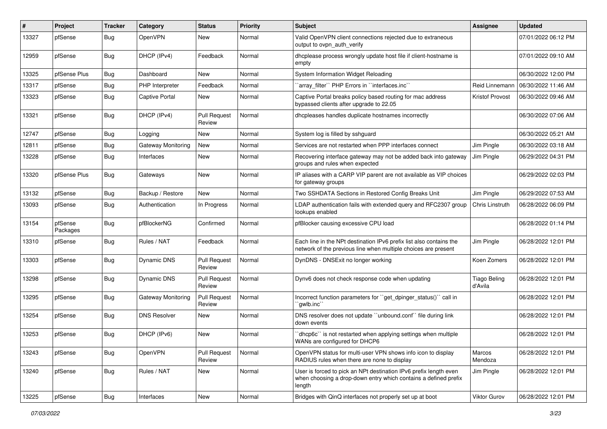| #     | Project             | <b>Tracker</b> | Category                  | <b>Status</b>                 | <b>Priority</b> | <b>Subject</b>                                                                                                                                 | <b>Assignee</b>                | <b>Updated</b>      |
|-------|---------------------|----------------|---------------------------|-------------------------------|-----------------|------------------------------------------------------------------------------------------------------------------------------------------------|--------------------------------|---------------------|
| 13327 | pfSense             | Bug            | OpenVPN                   | New                           | Normal          | Valid OpenVPN client connections rejected due to extraneous<br>output to ovpn auth verify                                                      |                                | 07/01/2022 06:12 PM |
| 12959 | pfSense             | <b>Bug</b>     | DHCP (IPv4)               | Feedback                      | Normal          | dhcplease process wrongly update host file if client-hostname is<br>empty                                                                      |                                | 07/01/2022 09:10 AM |
| 13325 | pfSense Plus        | Bug            | Dashboard                 | New                           | Normal          | System Information Widget Reloading                                                                                                            |                                | 06/30/2022 12:00 PM |
| 13317 | pfSense             | <b>Bug</b>     | PHP Interpreter           | Feedback                      | Normal          | 'array_filter'' PHP Errors in "interfaces.inc"                                                                                                 | Reid Linnemann                 | 06/30/2022 11:46 AM |
| 13323 | pfSense             | <b>Bug</b>     | <b>Captive Portal</b>     | New                           | Normal          | Captive Portal breaks policy based routing for mac address<br>bypassed clients after upgrade to 22.05                                          | <b>Kristof Provost</b>         | 06/30/2022 09:46 AM |
| 13321 | pfSense             | <b>Bug</b>     | DHCP (IPv4)               | Pull Request<br>Review        | Normal          | dhcpleases handles duplicate hostnames incorrectly                                                                                             |                                | 06/30/2022 07:06 AM |
| 12747 | pfSense             | <b>Bug</b>     | Logging                   | New                           | Normal          | System log is filled by sshguard                                                                                                               |                                | 06/30/2022 05:21 AM |
| 12811 | pfSense             | <b>Bug</b>     | Gateway Monitoring        | New                           | Normal          | Services are not restarted when PPP interfaces connect                                                                                         | Jim Pingle                     | 06/30/2022 03:18 AM |
| 13228 | pfSense             | <b>Bug</b>     | Interfaces                | New                           | Normal          | Recovering interface gateway may not be added back into gateway<br>groups and rules when expected                                              | Jim Pingle                     | 06/29/2022 04:31 PM |
| 13320 | pfSense Plus        | Bug            | Gateways                  | New                           | Normal          | IP aliases with a CARP VIP parent are not available as VIP choices<br>for gateway groups                                                       |                                | 06/29/2022 02:03 PM |
| 13132 | pfSense             | <b>Bug</b>     | Backup / Restore          | New                           | Normal          | Two SSHDATA Sections in Restored Config Breaks Unit                                                                                            | Jim Pingle                     | 06/29/2022 07:53 AM |
| 13093 | pfSense             | <b>Bug</b>     | Authentication            | In Progress                   | Normal          | LDAP authentication fails with extended query and RFC2307 group<br>lookups enabled                                                             | Chris Linstruth                | 06/28/2022 06:09 PM |
| 13154 | pfSense<br>Packages | Bug            | pfBlockerNG               | Confirmed                     | Normal          | pfBlocker causing excessive CPU load                                                                                                           |                                | 06/28/2022 01:14 PM |
| 13310 | pfSense             | Bug            | Rules / NAT               | Feedback                      | Normal          | Each line in the NPt destination IPv6 prefix list also contains the<br>network of the previous line when multiple choices are present          | Jim Pingle                     | 06/28/2022 12:01 PM |
| 13303 | pfSense             | <b>Bug</b>     | Dynamic DNS               | Pull Request<br>Review        | Normal          | DynDNS - DNSExit no longer working                                                                                                             | Koen Zomers                    | 06/28/2022 12:01 PM |
| 13298 | pfSense             | <b>Bug</b>     | Dynamic DNS               | <b>Pull Request</b><br>Review | Normal          | Dynv6 does not check response code when updating                                                                                               | <b>Tiago Beling</b><br>d'Avila | 06/28/2022 12:01 PM |
| 13295 | pfSense             | Bug            | <b>Gateway Monitoring</b> | Pull Request<br>Review        | Normal          | Incorrect function parameters for "get dpinger status()" call in<br>`gwlb.inc``                                                                |                                | 06/28/2022 12:01 PM |
| 13254 | pfSense             | <b>Bug</b>     | <b>DNS Resolver</b>       | New                           | Normal          | DNS resolver does not update "unbound.conf" file during link<br>down events                                                                    |                                | 06/28/2022 12:01 PM |
| 13253 | pfSense             | <b>Bug</b>     | DHCP (IPv6)               | <b>New</b>                    | Normal          | 'dhcp6c' is not restarted when applying settings when multiple<br>WANs are configured for DHCP6                                                |                                | 06/28/2022 12:01 PM |
| 13243 | pfSense             | Bug            | OpenVPN                   | <b>Pull Request</b><br>Review | Normal          | OpenVPN status for multi-user VPN shows info icon to display<br>RADIUS rules when there are none to display                                    | Marcos<br>Mendoza              | 06/28/2022 12:01 PM |
| 13240 | pfSense             | <b>Bug</b>     | Rules / NAT               | New                           | Normal          | User is forced to pick an NPt destination IPv6 prefix length even<br>when choosing a drop-down entry which contains a defined prefix<br>length | Jim Pingle                     | 06/28/2022 12:01 PM |
| 13225 | pfSense             | Bug            | Interfaces                | New                           | Normal          | Bridges with QinQ interfaces not properly set up at boot                                                                                       | <b>Viktor Gurov</b>            | 06/28/2022 12:01 PM |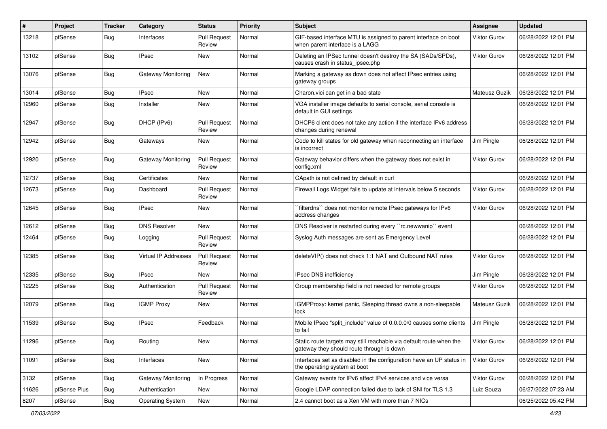| #     | Project      | <b>Tracker</b>   | Category                  | <b>Status</b>                 | Priority | Subject                                                                                                          | <b>Assignee</b>     | <b>Updated</b>      |
|-------|--------------|------------------|---------------------------|-------------------------------|----------|------------------------------------------------------------------------------------------------------------------|---------------------|---------------------|
| 13218 | pfSense      | <b>Bug</b>       | Interfaces                | <b>Pull Request</b><br>Review | Normal   | GIF-based interface MTU is assigned to parent interface on boot<br>when parent interface is a LAGG               | Viktor Gurov        | 06/28/2022 12:01 PM |
| 13102 | pfSense      | <b>Bug</b>       | <b>IPsec</b>              | New                           | Normal   | Deleting an IPSec tunnel doesn't destroy the SA (SADs/SPDs),<br>causes crash in status_ipsec.php                 | <b>Viktor Gurov</b> | 06/28/2022 12:01 PM |
| 13076 | pfSense      | <b>Bug</b>       | <b>Gateway Monitoring</b> | New                           | Normal   | Marking a gateway as down does not affect IPsec entries using<br>gateway groups                                  |                     | 06/28/2022 12:01 PM |
| 13014 | pfSense      | Bug              | <b>IPsec</b>              | New                           | Normal   | Charon.vici can get in a bad state                                                                               | Mateusz Guzik       | 06/28/2022 12:01 PM |
| 12960 | pfSense      | <b>Bug</b>       | Installer                 | New                           | Normal   | VGA installer image defaults to serial console, serial console is<br>default in GUI settings                     |                     | 06/28/2022 12:01 PM |
| 12947 | pfSense      | <b>Bug</b>       | DHCP (IPv6)               | Pull Request<br>Review        | Normal   | DHCP6 client does not take any action if the interface IPv6 address<br>changes during renewal                    |                     | 06/28/2022 12:01 PM |
| 12942 | pfSense      | <b>Bug</b>       | Gateways                  | New                           | Normal   | Code to kill states for old gateway when reconnecting an interface<br>is incorrect                               | Jim Pingle          | 06/28/2022 12:01 PM |
| 12920 | pfSense      | <b>Bug</b>       | Gateway Monitoring        | <b>Pull Request</b><br>Review | Normal   | Gateway behavior differs when the gateway does not exist in<br>config.xml                                        | <b>Viktor Gurov</b> | 06/28/2022 12:01 PM |
| 12737 | pfSense      | <b>Bug</b>       | Certificates              | New                           | Normal   | CApath is not defined by default in curl                                                                         |                     | 06/28/2022 12:01 PM |
| 12673 | pfSense      | <b>Bug</b>       | Dashboard                 | <b>Pull Request</b><br>Review | Normal   | Firewall Logs Widget fails to update at intervals below 5 seconds.                                               | <b>Viktor Gurov</b> | 06/28/2022 12:01 PM |
| 12645 | pfSense      | <b>Bug</b>       | <b>IPsec</b>              | New                           | Normal   | `filterdns`` does not monitor remote IPsec gateways for IPv6<br>address changes                                  | Viktor Gurov        | 06/28/2022 12:01 PM |
| 12612 | pfSense      | <b>Bug</b>       | <b>DNS Resolver</b>       | New                           | Normal   | DNS Resolver is restarted during every "rc.newwanip" event                                                       |                     | 06/28/2022 12:01 PM |
| 12464 | pfSense      | <b>Bug</b>       | Logging                   | <b>Pull Request</b><br>Review | Normal   | Syslog Auth messages are sent as Emergency Level                                                                 |                     | 06/28/2022 12:01 PM |
| 12385 | pfSense      | <b>Bug</b>       | Virtual IP Addresses      | Pull Request<br>Review        | Normal   | deleteVIP() does not check 1:1 NAT and Outbound NAT rules                                                        | Viktor Gurov        | 06/28/2022 12:01 PM |
| 12335 | pfSense      | <b>Bug</b>       | <b>IPsec</b>              | New                           | Normal   | IPsec DNS inefficiency                                                                                           | Jim Pingle          | 06/28/2022 12:01 PM |
| 12225 | pfSense      | Bug              | Authentication            | Pull Request<br>Review        | Normal   | Group membership field is not needed for remote groups                                                           | Viktor Gurov        | 06/28/2022 12:01 PM |
| 12079 | pfSense      | <b>Bug</b>       | <b>IGMP Proxy</b>         | New                           | Normal   | IGMPProxy: kernel panic, Sleeping thread owns a non-sleepable<br>lock                                            | Mateusz Guzik       | 06/28/2022 12:01 PM |
| 11539 | pfSense      | Bug              | <b>IPsec</b>              | Feedback                      | Normal   | Mobile IPsec "split include" value of 0.0.0.0/0 causes some clients<br>to fail                                   | Jim Pingle          | 06/28/2022 12:01 PM |
| 11296 | pfSense      | <sub>I</sub> Bug | Routing                   | New                           | Normal   | Static route targets may still reachable via default route when the<br>gateway they should route through is down | Viktor Gurov        | 06/28/2022 12:01 PM |
| 11091 | pfSense      | <b>Bug</b>       | Interfaces                | New                           | Normal   | Interfaces set as disabled in the configuration have an UP status in<br>the operating system at boot             | <b>Viktor Gurov</b> | 06/28/2022 12:01 PM |
| 3132  | pfSense      | <b>Bug</b>       | <b>Gateway Monitoring</b> | In Progress                   | Normal   | Gateway events for IPv6 affect IPv4 services and vice versa                                                      | Viktor Gurov        | 06/28/2022 12:01 PM |
| 11626 | pfSense Plus | <b>Bug</b>       | Authentication            | New                           | Normal   | Google LDAP connection failed due to lack of SNI for TLS 1.3                                                     | Luiz Souza          | 06/27/2022 07:23 AM |
| 8207  | pfSense      | <b>Bug</b>       | <b>Operating System</b>   | New                           | Normal   | 2.4 cannot boot as a Xen VM with more than 7 NICs                                                                |                     | 06/25/2022 05:42 PM |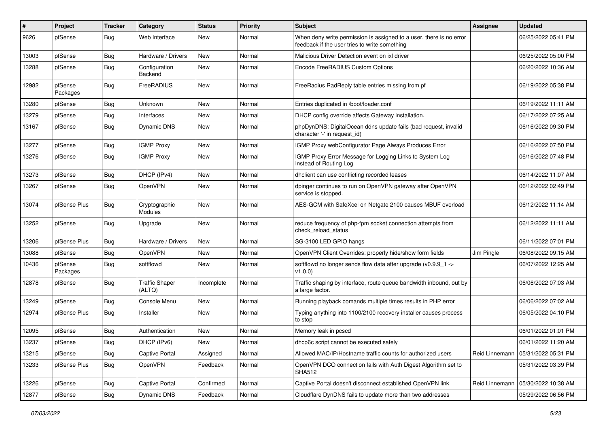| #     | Project             | <b>Tracker</b> | Category                        | <b>Status</b> | <b>Priority</b> | <b>Subject</b>                                                                                                       | <b>Assignee</b> | <b>Updated</b>      |
|-------|---------------------|----------------|---------------------------------|---------------|-----------------|----------------------------------------------------------------------------------------------------------------------|-----------------|---------------------|
| 9626  | pfSense             | Bug            | Web Interface                   | New           | Normal          | When deny write permission is assigned to a user, there is no error<br>feedback if the user tries to write something |                 | 06/25/2022 05:41 PM |
| 13003 | pfSense             | <b>Bug</b>     | Hardware / Drivers              | New           | Normal          | Malicious Driver Detection event on ixl driver                                                                       |                 | 06/25/2022 05:00 PM |
| 13288 | pfSense             | <b>Bug</b>     | Configuration<br>Backend        | New           | Normal          | Encode FreeRADIUS Custom Options                                                                                     |                 | 06/20/2022 10:36 AM |
| 12982 | pfSense<br>Packages | <b>Bug</b>     | FreeRADIUS                      | New           | Normal          | FreeRadius RadReply table entries missing from pf                                                                    |                 | 06/19/2022 05:38 PM |
| 13280 | pfSense             | Bug            | Unknown                         | New           | Normal          | Entries duplicated in /boot/loader.conf                                                                              |                 | 06/19/2022 11:11 AM |
| 13279 | pfSense             | <b>Bug</b>     | Interfaces                      | New           | Normal          | DHCP config override affects Gateway installation.                                                                   |                 | 06/17/2022 07:25 AM |
| 13167 | pfSense             | <b>Bug</b>     | Dynamic DNS                     | New           | Normal          | phpDynDNS: DigitalOcean ddns update fails (bad request, invalid<br>character '-' in request_id)                      |                 | 06/16/2022 09:30 PM |
| 13277 | pfSense             | Bug            | <b>IGMP Proxy</b>               | New           | Normal          | IGMP Proxy webConfigurator Page Always Produces Error                                                                |                 | 06/16/2022 07:50 PM |
| 13276 | pfSense             | <b>Bug</b>     | <b>IGMP Proxy</b>               | New           | Normal          | IGMP Proxy Error Message for Logging Links to System Log<br>Instead of Routing Log                                   |                 | 06/16/2022 07:48 PM |
| 13273 | pfSense             | <b>Bug</b>     | DHCP (IPv4)                     | New           | Normal          | dhclient can use conflicting recorded leases                                                                         |                 | 06/14/2022 11:07 AM |
| 13267 | pfSense             | <b>Bug</b>     | OpenVPN                         | New           | Normal          | dpinger continues to run on OpenVPN gateway after OpenVPN<br>service is stopped.                                     |                 | 06/12/2022 02:49 PM |
| 13074 | pfSense Plus        | <b>Bug</b>     | Cryptographic<br>Modules        | New           | Normal          | AES-GCM with SafeXcel on Netgate 2100 causes MBUF overload                                                           |                 | 06/12/2022 11:14 AM |
| 13252 | pfSense             | Bug            | Upgrade                         | New           | Normal          | reduce frequency of php-fpm socket connection attempts from<br>check reload status                                   |                 | 06/12/2022 11:11 AM |
| 13206 | pfSense Plus        | Bug            | Hardware / Drivers              | New           | Normal          | SG-3100 LED GPIO hangs                                                                                               |                 | 06/11/2022 07:01 PM |
| 13088 | pfSense             | Bug            | OpenVPN                         | New           | Normal          | OpenVPN Client Overrides: properly hide/show form fields                                                             | Jim Pingle      | 06/08/2022 09:15 AM |
| 10436 | pfSense<br>Packages | <b>Bug</b>     | softflowd                       | New           | Normal          | softflowd no longer sends flow data after upgrade (v0.9.9_1 -><br>v1.0.0                                             |                 | 06/07/2022 12:25 AM |
| 12878 | pfSense             | Bug            | <b>Traffic Shaper</b><br>(ALTQ) | Incomplete    | Normal          | Traffic shaping by interface, route queue bandwidth inbound, out by<br>a large factor.                               |                 | 06/06/2022 07:03 AM |
| 13249 | pfSense             | <b>Bug</b>     | Console Menu                    | New           | Normal          | Running playback comands multiple times results in PHP error                                                         |                 | 06/06/2022 07:02 AM |
| 12974 | pfSense Plus        | <b>Bug</b>     | Installer                       | New           | Normal          | Typing anything into 1100/2100 recovery installer causes process<br>to stop                                          |                 | 06/05/2022 04:10 PM |
| 12095 | pfSense             | <b>Bug</b>     | Authentication                  | <b>New</b>    | Normal          | Memory leak in pcscd                                                                                                 |                 | 06/01/2022 01:01 PM |
| 13237 | pfSense             | <b>Bug</b>     | DHCP (IPv6)                     | New           | Normal          | dhcp6c script cannot be executed safely                                                                              |                 | 06/01/2022 11:20 AM |
| 13215 | pfSense             | Bug            | Captive Portal                  | Assigned      | Normal          | Allowed MAC/IP/Hostname traffic counts for authorized users                                                          | Reid Linnemann  | 05/31/2022 05:31 PM |
| 13233 | pfSense Plus        | <b>Bug</b>     | OpenVPN                         | Feedback      | Normal          | OpenVPN DCO connection fails with Auth Digest Algorithm set to<br><b>SHA512</b>                                      |                 | 05/31/2022 03:39 PM |
| 13226 | pfSense             | <b>Bug</b>     | Captive Portal                  | Confirmed     | Normal          | Captive Portal doesn't disconnect established OpenVPN link                                                           | Reid Linnemann  | 05/30/2022 10:38 AM |
| 12877 | pfSense             | <b>Bug</b>     | Dynamic DNS                     | Feedback      | Normal          | Cloudflare DynDNS fails to update more than two addresses                                                            |                 | 05/29/2022 06:56 PM |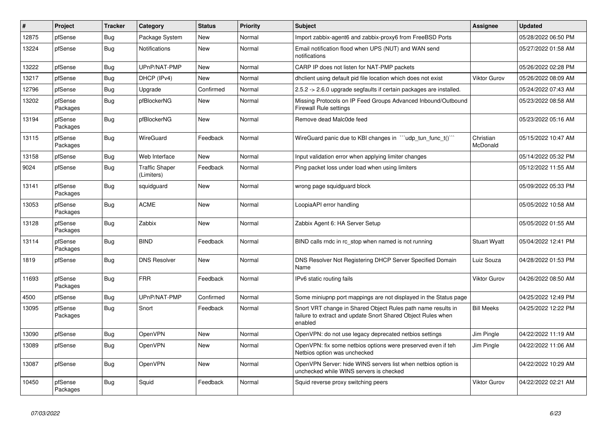| $\pmb{\#}$ | Project             | <b>Tracker</b> | Category                            | <b>Status</b> | <b>Priority</b> | Subject                                                                                                                                 | <b>Assignee</b>       | <b>Updated</b>      |
|------------|---------------------|----------------|-------------------------------------|---------------|-----------------|-----------------------------------------------------------------------------------------------------------------------------------------|-----------------------|---------------------|
| 12875      | pfSense             | <b>Bug</b>     | Package System                      | <b>New</b>    | Normal          | Import zabbix-agent6 and zabbix-proxy6 from FreeBSD Ports                                                                               |                       | 05/28/2022 06:50 PM |
| 13224      | pfSense             | <b>Bug</b>     | <b>Notifications</b>                | <b>New</b>    | Normal          | Email notification flood when UPS (NUT) and WAN send<br>notifications                                                                   |                       | 05/27/2022 01:58 AM |
| 13222      | pfSense             | Bug            | UPnP/NAT-PMP                        | New           | Normal          | CARP IP does not listen for NAT-PMP packets                                                                                             |                       | 05/26/2022 02:28 PM |
| 13217      | pfSense             | Bug            | DHCP (IPv4)                         | <b>New</b>    | Normal          | dhclient using default pid file location which does not exist                                                                           | Viktor Gurov          | 05/26/2022 08:09 AM |
| 12796      | pfSense             | <b>Bug</b>     | Upgrade                             | Confirmed     | Normal          | 2.5.2 -> 2.6.0 upgrade segfaults if certain packages are installed.                                                                     |                       | 05/24/2022 07:43 AM |
| 13202      | pfSense<br>Packages | <b>Bug</b>     | pfBlockerNG                         | New           | Normal          | Missing Protocols on IP Feed Groups Advanced Inbound/Outbound<br><b>Firewall Rule settings</b>                                          |                       | 05/23/2022 08:58 AM |
| 13194      | pfSense<br>Packages | Bug            | pfBlockerNG                         | New           | Normal          | Remove dead Malc0de feed                                                                                                                |                       | 05/23/2022 05:16 AM |
| 13115      | pfSense<br>Packages | <b>Bug</b>     | WireGuard                           | Feedback      | Normal          | WireGuard panic due to KBI changes in "'udp_tun_func_t()'"                                                                              | Christian<br>McDonald | 05/15/2022 10:47 AM |
| 13158      | pfSense             | Bug            | Web Interface                       | <b>New</b>    | Normal          | Input validation error when applying limiter changes                                                                                    |                       | 05/14/2022 05:32 PM |
| 9024       | pfSense             | <b>Bug</b>     | <b>Traffic Shaper</b><br>(Limiters) | Feedback      | Normal          | Ping packet loss under load when using limiters                                                                                         |                       | 05/12/2022 11:55 AM |
| 13141      | pfSense<br>Packages | Bug            | squidguard                          | New           | Normal          | wrong page squidguard block                                                                                                             |                       | 05/09/2022 05:33 PM |
| 13053      | pfSense<br>Packages | <b>Bug</b>     | <b>ACME</b>                         | New           | Normal          | LoopiaAPI error handling                                                                                                                |                       | 05/05/2022 10:58 AM |
| 13128      | pfSense<br>Packages | <b>Bug</b>     | Zabbix                              | <b>New</b>    | Normal          | Zabbix Agent 6: HA Server Setup                                                                                                         |                       | 05/05/2022 01:55 AM |
| 13114      | pfSense<br>Packages | <b>Bug</b>     | <b>BIND</b>                         | Feedback      | Normal          | BIND calls rndc in rc_stop when named is not running                                                                                    | <b>Stuart Wyatt</b>   | 05/04/2022 12:41 PM |
| 1819       | pfSense             | Bug            | <b>DNS Resolver</b>                 | New           | Normal          | DNS Resolver Not Registering DHCP Server Specified Domain<br>Name                                                                       | Luiz Souza            | 04/28/2022 01:53 PM |
| 11693      | pfSense<br>Packages | <b>Bug</b>     | <b>FRR</b>                          | Feedback      | Normal          | IPv6 static routing fails                                                                                                               | Viktor Gurov          | 04/26/2022 08:50 AM |
| 4500       | pfSense             | Bug            | UPnP/NAT-PMP                        | Confirmed     | Normal          | Some miniupnp port mappings are not displayed in the Status page                                                                        |                       | 04/25/2022 12:49 PM |
| 13095      | pfSense<br>Packages | <b>Bug</b>     | Snort                               | Feedback      | Normal          | Snort VRT change in Shared Object Rules path name results in<br>failure to extract and update Snort Shared Object Rules when<br>enabled | <b>Bill Meeks</b>     | 04/25/2022 12:22 PM |
| 13090      | pfSense             | <b>Bug</b>     | OpenVPN                             | <b>New</b>    | Normal          | OpenVPN: do not use legacy deprecated netbios settings                                                                                  | Jim Pingle            | 04/22/2022 11:19 AM |
| 13089      | pfSense             | Bug            | OpenVPN                             | New           | Normal          | OpenVPN: fix some netbios options were preserved even if teh<br>Netbios option was unchecked                                            | Jim Pingle            | 04/22/2022 11:06 AM |
| 13087      | pfSense             | <b>Bug</b>     | OpenVPN                             | <b>New</b>    | Normal          | OpenVPN Server: hide WINS servers list when netbios option is<br>unchecked while WINS servers is checked                                |                       | 04/22/2022 10:29 AM |
| 10450      | pfSense<br>Packages | <b>Bug</b>     | Squid                               | Feedback      | Normal          | Squid reverse proxy switching peers                                                                                                     | Viktor Gurov          | 04/22/2022 02:21 AM |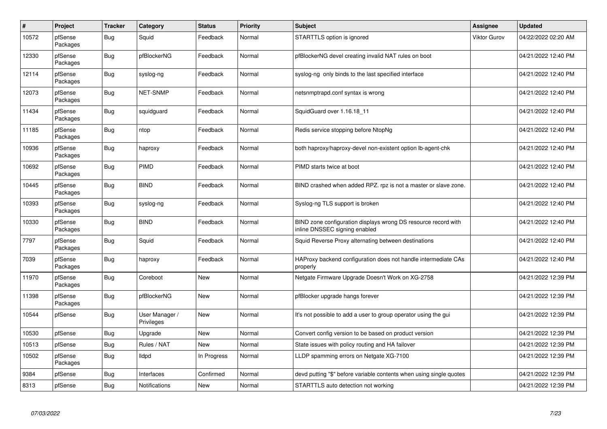| #     | Project             | <b>Tracker</b> | Category                     | <b>Status</b> | <b>Priority</b> | <b>Subject</b>                                                                                  | Assignee     | Updated             |
|-------|---------------------|----------------|------------------------------|---------------|-----------------|-------------------------------------------------------------------------------------------------|--------------|---------------------|
| 10572 | pfSense<br>Packages | Bug            | Squid                        | Feedback      | Normal          | STARTTLS option is ignored                                                                      | Viktor Gurov | 04/22/2022 02:20 AM |
| 12330 | pfSense<br>Packages | Bug            | pfBlockerNG                  | Feedback      | Normal          | pfBlockerNG devel creating invalid NAT rules on boot                                            |              | 04/21/2022 12:40 PM |
| 12114 | pfSense<br>Packages | Bug            | syslog-ng                    | Feedback      | Normal          | syslog-ng only binds to the last specified interface                                            |              | 04/21/2022 12:40 PM |
| 12073 | pfSense<br>Packages | <b>Bug</b>     | NET-SNMP                     | Feedback      | Normal          | netsnmptrapd.conf syntax is wrong                                                               |              | 04/21/2022 12:40 PM |
| 11434 | pfSense<br>Packages | <b>Bug</b>     | squidguard                   | Feedback      | Normal          | SquidGuard over 1.16.18 11                                                                      |              | 04/21/2022 12:40 PM |
| 11185 | pfSense<br>Packages | <b>Bug</b>     | ntop                         | Feedback      | Normal          | Redis service stopping before NtopNg                                                            |              | 04/21/2022 12:40 PM |
| 10936 | pfSense<br>Packages | <b>Bug</b>     | haproxy                      | Feedback      | Normal          | both haproxy/haproxy-devel non-existent option lb-agent-chk                                     |              | 04/21/2022 12:40 PM |
| 10692 | pfSense<br>Packages | <b>Bug</b>     | <b>PIMD</b>                  | Feedback      | Normal          | PIMD starts twice at boot                                                                       |              | 04/21/2022 12:40 PM |
| 10445 | pfSense<br>Packages | Bug            | <b>BIND</b>                  | Feedback      | Normal          | BIND crashed when added RPZ. rpz is not a master or slave zone.                                 |              | 04/21/2022 12:40 PM |
| 10393 | pfSense<br>Packages | Bug            | syslog-ng                    | Feedback      | Normal          | Syslog-ng TLS support is broken                                                                 |              | 04/21/2022 12:40 PM |
| 10330 | pfSense<br>Packages | <b>Bug</b>     | <b>BIND</b>                  | Feedback      | Normal          | BIND zone configuration displays wrong DS resource record with<br>inline DNSSEC signing enabled |              | 04/21/2022 12:40 PM |
| 7797  | pfSense<br>Packages | <b>Bug</b>     | Squid                        | Feedback      | Normal          | Squid Reverse Proxy alternating between destinations                                            |              | 04/21/2022 12:40 PM |
| 7039  | pfSense<br>Packages | <b>Bug</b>     | haproxy                      | Feedback      | Normal          | HAProxy backend configuration does not handle intermediate CAs<br>properly                      |              | 04/21/2022 12:40 PM |
| 11970 | pfSense<br>Packages | Bug            | Coreboot                     | <b>New</b>    | Normal          | Netgate Firmware Upgrade Doesn't Work on XG-2758                                                |              | 04/21/2022 12:39 PM |
| 11398 | pfSense<br>Packages | Bug            | pfBlockerNG                  | <b>New</b>    | Normal          | pfBlocker upgrade hangs forever                                                                 |              | 04/21/2022 12:39 PM |
| 10544 | pfSense             | <b>Bug</b>     | User Manager /<br>Privileges | <b>New</b>    | Normal          | It's not possible to add a user to group operator using the gui                                 |              | 04/21/2022 12:39 PM |
| 10530 | pfSense             | Bug            | Upgrade                      | <b>New</b>    | Normal          | Convert config version to be based on product version                                           |              | 04/21/2022 12:39 PM |
| 10513 | pfSense             | <b>Bug</b>     | Rules / NAT                  | <b>New</b>    | Normal          | State issues with policy routing and HA failover                                                |              | 04/21/2022 12:39 PM |
| 10502 | pfSense<br>Packages | <b>Bug</b>     | lldpd                        | In Progress   | Normal          | LLDP spamming errors on Netgate XG-7100                                                         |              | 04/21/2022 12:39 PM |
| 9384  | pfSense             | <b>Bug</b>     | Interfaces                   | Confirmed     | Normal          | devd putting "\$" before variable contents when using single quotes                             |              | 04/21/2022 12:39 PM |
| 8313  | pfSense             | <b>Bug</b>     | Notifications                | <b>New</b>    | Normal          | STARTTLS auto detection not working                                                             |              | 04/21/2022 12:39 PM |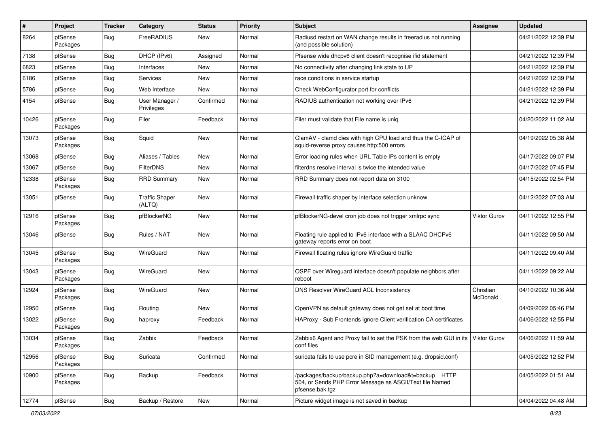| $\sharp$ | Project             | <b>Tracker</b> | Category                        | <b>Status</b> | Priority | Subject                                                                                                                             | Assignee              | <b>Updated</b>      |
|----------|---------------------|----------------|---------------------------------|---------------|----------|-------------------------------------------------------------------------------------------------------------------------------------|-----------------------|---------------------|
| 8264     | pfSense<br>Packages | <b>Bug</b>     | FreeRADIUS                      | New           | Normal   | Radiusd restart on WAN change results in freeradius not running<br>(and possible solution)                                          |                       | 04/21/2022 12:39 PM |
| 7138     | pfSense             | <b>Bug</b>     | DHCP (IPv6)                     | Assigned      | Normal   | Pfsense wide dhcpv6 client doesn't recognise ifid statement                                                                         |                       | 04/21/2022 12:39 PM |
| 6823     | pfSense             | <b>Bug</b>     | Interfaces                      | New           | Normal   | No connectivity after changing link state to UP                                                                                     |                       | 04/21/2022 12:39 PM |
| 6186     | pfSense             | <b>Bug</b>     | Services                        | <b>New</b>    | Normal   | race conditions in service startup                                                                                                  |                       | 04/21/2022 12:39 PM |
| 5786     | pfSense             | Bug            | Web Interface                   | New           | Normal   | Check WebConfigurator port for conflicts                                                                                            |                       | 04/21/2022 12:39 PM |
| 4154     | pfSense             | <b>Bug</b>     | User Manager /<br>Privileges    | Confirmed     | Normal   | RADIUS authentication not working over IPv6                                                                                         |                       | 04/21/2022 12:39 PM |
| 10426    | pfSense<br>Packages | <b>Bug</b>     | Filer                           | Feedback      | Normal   | Filer must validate that File name is unig                                                                                          |                       | 04/20/2022 11:02 AM |
| 13073    | pfSense<br>Packages | <b>Bug</b>     | Squid                           | New           | Normal   | ClamAV - clamd dies with high CPU load and thus the C-ICAP of<br>squid-reverse proxy causes http:500 errors                         |                       | 04/19/2022 05:38 AM |
| 13068    | pfSense             | <b>Bug</b>     | Aliases / Tables                | <b>New</b>    | Normal   | Error loading rules when URL Table IPs content is empty                                                                             |                       | 04/17/2022 09:07 PM |
| 13067    | pfSense             | <b>Bug</b>     | <b>FilterDNS</b>                | New           | Normal   | filterdns resolve interval is twice the intended value                                                                              |                       | 04/17/2022 07:45 PM |
| 12338    | pfSense<br>Packages | <b>Bug</b>     | <b>RRD Summary</b>              | New           | Normal   | RRD Summary does not report data on 3100                                                                                            |                       | 04/15/2022 02:54 PM |
| 13051    | pfSense             | <b>Bug</b>     | <b>Traffic Shaper</b><br>(ALTQ) | New           | Normal   | Firewall traffic shaper by interface selection unknow                                                                               |                       | 04/12/2022 07:03 AM |
| 12916    | pfSense<br>Packages | <b>Bug</b>     | pfBlockerNG                     | <b>New</b>    | Normal   | pfBlockerNG-devel cron job does not trigger xmlrpc sync                                                                             | Viktor Gurov          | 04/11/2022 12:55 PM |
| 13046    | pfSense             | <b>Bug</b>     | Rules / NAT                     | <b>New</b>    | Normal   | Floating rule applied to IPv6 interface with a SLAAC DHCPv6<br>gateway reports error on boot                                        |                       | 04/11/2022 09:50 AM |
| 13045    | pfSense<br>Packages | <b>Bug</b>     | WireGuard                       | <b>New</b>    | Normal   | Firewall floating rules ignore WireGuard traffic                                                                                    |                       | 04/11/2022 09:40 AM |
| 13043    | pfSense<br>Packages | <b>Bug</b>     | WireGuard                       | New           | Normal   | OSPF over Wireguard interface doesn't populate neighbors after<br>reboot                                                            |                       | 04/11/2022 09:22 AM |
| 12924    | pfSense<br>Packages | <b>Bug</b>     | WireGuard                       | New           | Normal   | DNS Resolver WireGuard ACL Inconsistency                                                                                            | Christian<br>McDonald | 04/10/2022 10:36 AM |
| 12950    | pfSense             | Bug            | Routing                         | New           | Normal   | OpenVPN as default gateway does not get set at boot time                                                                            |                       | 04/09/2022 05:46 PM |
| 13022    | pfSense<br>Packages | <b>Bug</b>     | haproxy                         | Feedback      | Normal   | HAProxy - Sub Frontends ignore Client verification CA certificates                                                                  |                       | 04/06/2022 12:55 PM |
| 13034    | pfSense<br>Packages | <b>Bug</b>     | Zabbix                          | Feedback      | Normal   | Zabbix6 Agent and Proxy fail to set the PSK from the web GUI in its   Viktor Gurov<br>conf files                                    |                       | 04/06/2022 11:59 AM |
| 12956    | pfSense<br>Packages | <b>Bug</b>     | Suricata                        | Confirmed     | Normal   | suricata fails to use pcre in SID management (e.g. dropsid.conf)                                                                    |                       | 04/05/2022 12:52 PM |
| 10900    | pfSense<br>Packages | Bug            | Backup                          | Feedback      | Normal   | /packages/backup/backup.php?a=download&t=backup HTTP<br>504, or Sends PHP Error Message as ASCII/Text file Named<br>pfsense.bak.tgz |                       | 04/05/2022 01:51 AM |
| 12774    | pfSense             | <b>Bug</b>     | Backup / Restore                | New           | Normal   | Picture widget image is not saved in backup                                                                                         |                       | 04/04/2022 04:48 AM |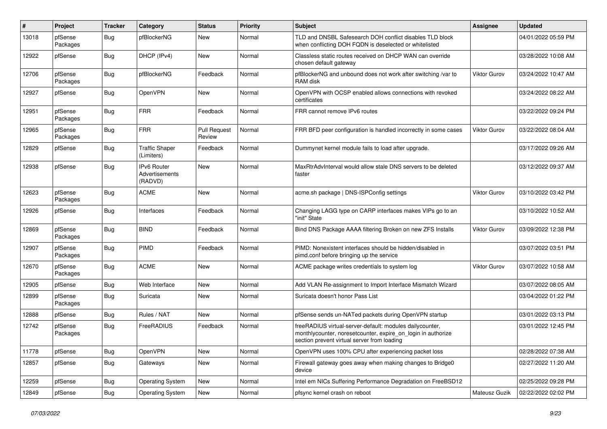| #     | Project             | <b>Tracker</b> | Category                                 | <b>Status</b>          | <b>Priority</b> | Subject                                                                                                                                                                 | <b>Assignee</b>     | <b>Updated</b>      |
|-------|---------------------|----------------|------------------------------------------|------------------------|-----------------|-------------------------------------------------------------------------------------------------------------------------------------------------------------------------|---------------------|---------------------|
| 13018 | pfSense<br>Packages | <b>Bug</b>     | pfBlockerNG                              | New                    | Normal          | TLD and DNSBL Safesearch DOH conflict disables TLD block<br>when conflicting DOH FQDN is deselected or whitelisted                                                      |                     | 04/01/2022 05:59 PM |
| 12922 | pfSense             | <b>Bug</b>     | DHCP (IPv4)                              | New                    | Normal          | Classless static routes received on DHCP WAN can override<br>chosen default gateway                                                                                     |                     | 03/28/2022 10:08 AM |
| 12706 | pfSense<br>Packages | <b>Bug</b>     | pfBlockerNG                              | Feedback               | Normal          | pfBlockerNG and unbound does not work after switching /var to<br>RAM disk                                                                                               | <b>Viktor Gurov</b> | 03/24/2022 10:47 AM |
| 12927 | pfSense             | Bug            | OpenVPN                                  | New                    | Normal          | OpenVPN with OCSP enabled allows connections with revoked<br>certificates                                                                                               |                     | 03/24/2022 08:22 AM |
| 12951 | pfSense<br>Packages | <b>Bug</b>     | <b>FRR</b>                               | Feedback               | Normal          | FRR cannot remove IPv6 routes                                                                                                                                           |                     | 03/22/2022 09:24 PM |
| 12965 | pfSense<br>Packages | Bug            | <b>FRR</b>                               | Pull Request<br>Review | Normal          | FRR BFD peer configuration is handled incorrectly in some cases                                                                                                         | <b>Viktor Gurov</b> | 03/22/2022 08:04 AM |
| 12829 | pfSense             | <b>Bug</b>     | <b>Traffic Shaper</b><br>(Limiters)      | Feedback               | Normal          | Dummynet kernel module fails to load after upgrade.                                                                                                                     |                     | 03/17/2022 09:26 AM |
| 12938 | pfSense             | <b>Bug</b>     | IPv6 Router<br>Advertisements<br>(RADVD) | <b>New</b>             | Normal          | MaxRtrAdvInterval would allow stale DNS servers to be deleted<br>faster                                                                                                 |                     | 03/12/2022 09:37 AM |
| 12623 | pfSense<br>Packages | Bug            | <b>ACME</b>                              | New                    | Normal          | acme.sh package   DNS-ISPConfig settings                                                                                                                                | <b>Viktor Gurov</b> | 03/10/2022 03:42 PM |
| 12926 | pfSense             | Bug            | Interfaces                               | Feedback               | Normal          | Changing LAGG type on CARP interfaces makes VIPs go to an<br>"init" State                                                                                               |                     | 03/10/2022 10:52 AM |
| 12869 | pfSense<br>Packages | Bug            | <b>BIND</b>                              | Feedback               | Normal          | Bind DNS Package AAAA filtering Broken on new ZFS Installs                                                                                                              | <b>Viktor Gurov</b> | 03/09/2022 12:38 PM |
| 12907 | pfSense<br>Packages | <b>Bug</b>     | PIMD                                     | Feedback               | Normal          | PIMD: Nonexistent interfaces should be hidden/disabled in<br>pimd.conf before bringing up the service                                                                   |                     | 03/07/2022 03:51 PM |
| 12670 | pfSense<br>Packages | Bug            | <b>ACME</b>                              | <b>New</b>             | Normal          | ACME package writes credentials to system log                                                                                                                           | Viktor Gurov        | 03/07/2022 10:58 AM |
| 12905 | pfSense             | <b>Bug</b>     | Web Interface                            | New                    | Normal          | Add VLAN Re-assignment to Import Interface Mismatch Wizard                                                                                                              |                     | 03/07/2022 08:05 AM |
| 12899 | pfSense<br>Packages | <b>Bug</b>     | Suricata                                 | New                    | Normal          | Suricata doesn't honor Pass List                                                                                                                                        |                     | 03/04/2022 01:22 PM |
| 12888 | pfSense             | <b>Bug</b>     | Rules / NAT                              | <b>New</b>             | Normal          | pfSense sends un-NATed packets during OpenVPN startup                                                                                                                   |                     | 03/01/2022 03:13 PM |
| 12742 | pfSense<br>Packages | <b>Bug</b>     | FreeRADIUS                               | Feedback               | Normal          | freeRADIUS virtual-server-default: modules dailycounter,<br>monthlycounter, noresetcounter, expire_on_login in authorize<br>section prevent virtual server from loading |                     | 03/01/2022 12:45 PM |
| 11778 | pfSense             | <b>Bug</b>     | OpenVPN                                  | New                    | Normal          | OpenVPN uses 100% CPU after experiencing packet loss                                                                                                                    |                     | 02/28/2022 07:38 AM |
| 12857 | pfSense             | Bug            | Gateways                                 | New                    | Normal          | Firewall gateway goes away when making changes to Bridge0<br>device                                                                                                     |                     | 02/27/2022 11:20 AM |
| 12259 | pfSense             | <b>Bug</b>     | <b>Operating System</b>                  | New                    | Normal          | Intel em NICs Suffering Performance Degradation on FreeBSD12                                                                                                            |                     | 02/25/2022 09:28 PM |
| 12849 | pfSense             | <b>Bug</b>     | <b>Operating System</b>                  | New                    | Normal          | pfsync kernel crash on reboot                                                                                                                                           | Mateusz Guzik       | 02/22/2022 02:02 PM |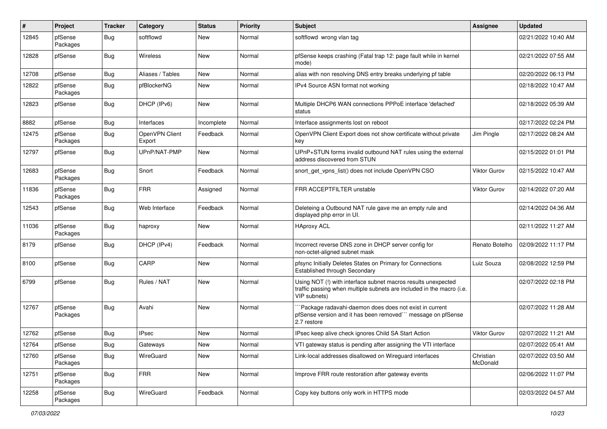| #     | Project             | <b>Tracker</b> | Category                 | <b>Status</b> | <b>Priority</b> | Subject                                                                                                                                                | <b>Assignee</b>       | <b>Updated</b>      |
|-------|---------------------|----------------|--------------------------|---------------|-----------------|--------------------------------------------------------------------------------------------------------------------------------------------------------|-----------------------|---------------------|
| 12845 | pfSense<br>Packages | <b>Bug</b>     | softflowd                | New           | Normal          | softflowd wrong vlan tag                                                                                                                               |                       | 02/21/2022 10:40 AM |
| 12828 | pfSense             | <b>Bug</b>     | Wireless                 | <b>New</b>    | Normal          | pfSense keeps crashing (Fatal trap 12: page fault while in kernel<br>mode)                                                                             |                       | 02/21/2022 07:55 AM |
| 12708 | pfSense             | <b>Bug</b>     | Aliases / Tables         | New           | Normal          | alias with non resolving DNS entry breaks underlying pf table                                                                                          |                       | 02/20/2022 06:13 PM |
| 12822 | pfSense<br>Packages | <b>Bug</b>     | pfBlockerNG              | New           | Normal          | IPv4 Source ASN format not working                                                                                                                     |                       | 02/18/2022 10:47 AM |
| 12823 | pfSense             | <b>Bug</b>     | DHCP (IPv6)              | New           | Normal          | Multiple DHCP6 WAN connections PPPoE interface 'defached'<br>status                                                                                    |                       | 02/18/2022 05:39 AM |
| 8882  | pfSense             | <b>Bug</b>     | Interfaces               | Incomplete    | Normal          | Interface assignments lost on reboot                                                                                                                   |                       | 02/17/2022 02:24 PM |
| 12475 | pfSense<br>Packages | <b>Bug</b>     | OpenVPN Client<br>Export | Feedback      | Normal          | OpenVPN Client Export does not show certificate without private<br>key                                                                                 | Jim Pingle            | 02/17/2022 08:24 AM |
| 12797 | pfSense             | <b>Bug</b>     | UPnP/NAT-PMP             | New           | Normal          | UPnP+STUN forms invalid outbound NAT rules using the external<br>address discovered from STUN                                                          |                       | 02/15/2022 01:01 PM |
| 12683 | pfSense<br>Packages | <b>Bug</b>     | Snort                    | Feedback      | Normal          | snort_get_vpns_list() does not include OpenVPN CSO                                                                                                     | Viktor Gurov          | 02/15/2022 10:47 AM |
| 11836 | pfSense<br>Packages | <b>Bug</b>     | <b>FRR</b>               | Assigned      | Normal          | FRR ACCEPTFILTER unstable                                                                                                                              | Viktor Gurov          | 02/14/2022 07:20 AM |
| 12543 | pfSense             | Bug            | Web Interface            | Feedback      | Normal          | Deleteing a Outbound NAT rule gave me an empty rule and<br>displayed php error in UI.                                                                  |                       | 02/14/2022 04:36 AM |
| 11036 | pfSense<br>Packages | <b>Bug</b>     | haproxy                  | New           | Normal          | <b>HAproxy ACL</b>                                                                                                                                     |                       | 02/11/2022 11:27 AM |
| 8179  | pfSense             | <b>Bug</b>     | DHCP (IPv4)              | Feedback      | Normal          | Incorrect reverse DNS zone in DHCP server config for<br>non-octet-aligned subnet mask                                                                  | Renato Botelho        | 02/09/2022 11:17 PM |
| 8100  | pfSense             | <b>Bug</b>     | CARP                     | New           | Normal          | pfsync Initially Deletes States on Primary for Connections<br>Established through Secondary                                                            | Luiz Souza            | 02/08/2022 12:59 PM |
| 6799  | pfSense             | <b>Bug</b>     | Rules / NAT              | New           | Normal          | Using NOT (!) with interface subnet macros results unexpected<br>traffic passing when multiple subnets are included in the macro (i.e.<br>VIP subnets) |                       | 02/07/2022 02:18 PM |
| 12767 | pfSense<br>Packages | Bug            | Avahi                    | New           | Normal          | `Package radavahi-daemon does does not exist in current<br>pfSense version and it has been removed"" message on pfSense<br>2.7 restore                 |                       | 02/07/2022 11:28 AM |
| 12762 | pfSense             | Bug            | <b>IPsec</b>             | New           | Normal          | IPsec keep alive check ignores Child SA Start Action                                                                                                   | Viktor Gurov          | 02/07/2022 11:21 AM |
| 12764 | pfSense             | <b>Bug</b>     | Gateways                 | New           | Normal          | VTI gateway status is pending after assigning the VTI interface                                                                                        |                       | 02/07/2022 05:41 AM |
| 12760 | pfSense<br>Packages | Bug            | WireGuard                | New           | Normal          | Link-local addresses disallowed on Wireguard interfaces                                                                                                | Christian<br>McDonald | 02/07/2022 03:50 AM |
| 12751 | pfSense<br>Packages | Bug            | <b>FRR</b>               | New           | Normal          | Improve FRR route restoration after gateway events                                                                                                     |                       | 02/06/2022 11:07 PM |
| 12258 | pfSense<br>Packages | Bug            | WireGuard                | Feedback      | Normal          | Copy key buttons only work in HTTPS mode                                                                                                               |                       | 02/03/2022 04:57 AM |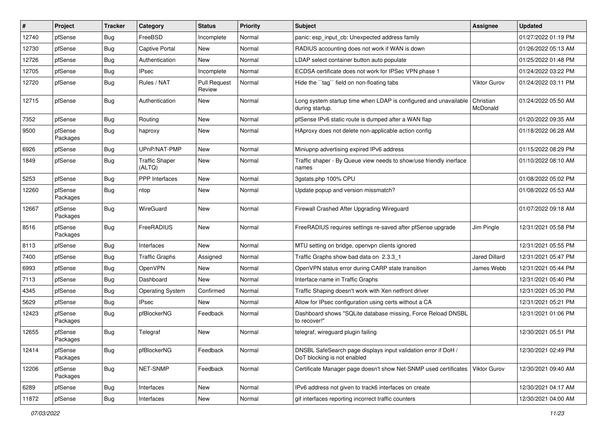| $\vert$ # | Project             | <b>Tracker</b> | Category                        | <b>Status</b>                 | <b>Priority</b> | <b>Subject</b>                                                                                | <b>Assignee</b>       | <b>Updated</b>      |
|-----------|---------------------|----------------|---------------------------------|-------------------------------|-----------------|-----------------------------------------------------------------------------------------------|-----------------------|---------------------|
| 12740     | pfSense             | Bug            | FreeBSD                         | Incomplete                    | Normal          | panic: esp input cb: Unexpected address family                                                |                       | 01/27/2022 01:19 PM |
| 12730     | pfSense             | <b>Bug</b>     | <b>Captive Portal</b>           | New                           | Normal          | RADIUS accounting does not work if WAN is down                                                |                       | 01/26/2022 05:13 AM |
| 12726     | pfSense             | Bug            | Authentication                  | New                           | Normal          | LDAP select container button auto populate                                                    |                       | 01/25/2022 01:48 PM |
| 12705     | pfSense             | Bug            | <b>IPsec</b>                    | Incomplete                    | Normal          | ECDSA certificate does not work for IPSec VPN phase 1                                         |                       | 01/24/2022 03:22 PM |
| 12720     | pfSense             | <b>Bug</b>     | Rules / NAT                     | <b>Pull Request</b><br>Review | Normal          | Hide the "tag" field on non-floating tabs                                                     | Viktor Gurov          | 01/24/2022 03:11 PM |
| 12715     | pfSense             | <b>Bug</b>     | Authentication                  | New                           | Normal          | Long system startup time when LDAP is configured and unavailable<br>during startup.           | Christian<br>McDonald | 01/24/2022 05:50 AM |
| 7352      | pfSense             | Bug            | Routing                         | New                           | Normal          | pfSense IPv6 static route is dumped after a WAN flap                                          |                       | 01/20/2022 09:35 AM |
| 9500      | pfSense<br>Packages | <b>Bug</b>     | haproxy                         | New                           | Normal          | HAproxy does not delete non-applicable action config                                          |                       | 01/18/2022 06:28 AM |
| 6926      | pfSense             | <b>Bug</b>     | UPnP/NAT-PMP                    | New                           | Normal          | Miniupnp advertising expired IPv6 address                                                     |                       | 01/15/2022 08:29 PM |
| 1849      | pfSense             | <b>Bug</b>     | <b>Traffic Shaper</b><br>(ALTQ) | New                           | Normal          | Traffic shaper - By Queue view needs to show/use friendly inerface<br>names                   |                       | 01/10/2022 08:10 AM |
| 5253      | pfSense             | <b>Bug</b>     | <b>PPP</b> Interfaces           | <b>New</b>                    | Normal          | 3gstats.php 100% CPU                                                                          |                       | 01/08/2022 05:02 PM |
| 12260     | pfSense<br>Packages | <b>Bug</b>     | ntop                            | <b>New</b>                    | Normal          | Update popup and version missmatch?                                                           |                       | 01/08/2022 05:53 AM |
| 12667     | pfSense<br>Packages | <b>Bug</b>     | WireGuard                       | <b>New</b>                    | Normal          | Firewall Crashed After Upgrading Wireguard                                                    |                       | 01/07/2022 09:18 AM |
| 8516      | pfSense<br>Packages | <b>Bug</b>     | FreeRADIUS                      | New                           | Normal          | FreeRADIUS requires settings re-saved after pfSense upgrade                                   | Jim Pingle            | 12/31/2021 05:58 PM |
| 8113      | pfSense             | <b>Bug</b>     | Interfaces                      | New                           | Normal          | MTU setting on bridge, openypn clients ignored                                                |                       | 12/31/2021 05:55 PM |
| 7400      | pfSense             | <b>Bug</b>     | <b>Traffic Graphs</b>           | Assigned                      | Normal          | Traffic Graphs show bad data on 2.3.3 1                                                       | Jared Dillard         | 12/31/2021 05:47 PM |
| 6993      | pfSense             | <b>Bug</b>     | OpenVPN                         | New                           | Normal          | OpenVPN status error during CARP state transition                                             | James Webb            | 12/31/2021 05:44 PM |
| 7113      | pfSense             | <b>Bug</b>     | Dashboard                       | New                           | Normal          | Interface name in Traffic Graphs                                                              |                       | 12/31/2021 05:40 PM |
| 4345      | pfSense             | <b>Bug</b>     | <b>Operating System</b>         | Confirmed                     | Normal          | Traffic Shaping doesn't work with Xen netfront driver                                         |                       | 12/31/2021 05:30 PM |
| 5629      | pfSense             | <b>Bug</b>     | <b>IPsec</b>                    | New                           | Normal          | Allow for IPsec configuration using certs without a CA                                        |                       | 12/31/2021 05:21 PM |
| 12423     | pfSense<br>Packages | <b>Bug</b>     | pfBlockerNG                     | Feedback                      | Normal          | Dashboard shows "SQLite database missing, Force Reload DNSBL<br>to recover!"                  |                       | 12/31/2021 01:06 PM |
| 12655     | pfSense<br>Packages | Bug            | Telegraf                        | <b>New</b>                    | Normal          | telegraf, wireguard plugin failing                                                            |                       | 12/30/2021 05:51 PM |
| 12414     | pfSense<br>Packages | <b>Bug</b>     | pfBlockerNG                     | Feedback                      | Normal          | DNSBL SafeSearch page displays input validation error if DoH /<br>DoT blocking is not enabled |                       | 12/30/2021 02:49 PM |
| 12206     | pfSense<br>Packages | <b>Bug</b>     | NET-SNMP                        | Feedback                      | Normal          | Certificate Manager page doesn't show Net-SNMP used certificates                              | Viktor Gurov          | 12/30/2021 09:40 AM |
| 6289      | pfSense             | <b>Bug</b>     | Interfaces                      | New                           | Normal          | IPv6 address not given to track6 interfaces on create                                         |                       | 12/30/2021 04:17 AM |
| 11872     | pfSense             | <b>Bug</b>     | Interfaces                      | New                           | Normal          | gif interfaces reporting incorrect traffic counters                                           |                       | 12/30/2021 04:00 AM |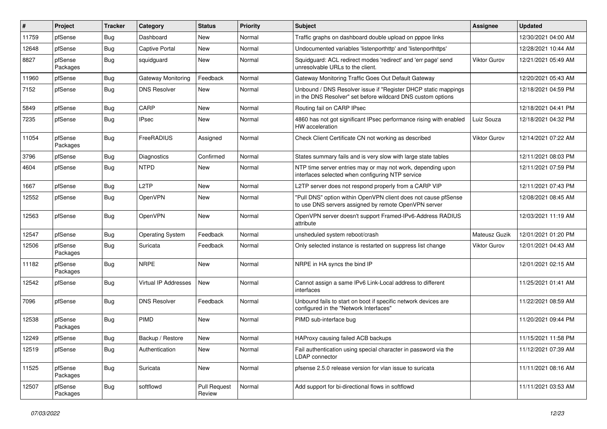| #     | Project             | <b>Tracker</b> | Category                | <b>Status</b>          | <b>Priority</b> | Subject                                                                                                                       | <b>Assignee</b>     | <b>Updated</b>      |
|-------|---------------------|----------------|-------------------------|------------------------|-----------------|-------------------------------------------------------------------------------------------------------------------------------|---------------------|---------------------|
| 11759 | pfSense             | <b>Bug</b>     | Dashboard               | New                    | Normal          | Traffic graphs on dashboard double upload on pppoe links                                                                      |                     | 12/30/2021 04:00 AM |
| 12648 | pfSense             | <b>Bug</b>     | <b>Captive Portal</b>   | <b>New</b>             | Normal          | Undocumented variables 'listenporthttp' and 'listenporthttps'                                                                 |                     | 12/28/2021 10:44 AM |
| 8827  | pfSense<br>Packages | <b>Bug</b>     | squidguard              | New                    | Normal          | Squidguard: ACL redirect modes 'redirect' and 'err page' send<br>unresolvable URLs to the client.                             | <b>Viktor Gurov</b> | 12/21/2021 05:49 AM |
| 11960 | pfSense             | <b>Bug</b>     | Gateway Monitoring      | Feedback               | Normal          | Gateway Monitoring Traffic Goes Out Default Gateway                                                                           |                     | 12/20/2021 05:43 AM |
| 7152  | pfSense             | <b>Bug</b>     | <b>DNS Resolver</b>     | <b>New</b>             | Normal          | Unbound / DNS Resolver issue if "Register DHCP static mappings<br>in the DNS Resolver" set before wildcard DNS custom options |                     | 12/18/2021 04:59 PM |
| 5849  | pfSense             | Bug            | CARP                    | <b>New</b>             | Normal          | Routing fail on CARP IPsec                                                                                                    |                     | 12/18/2021 04:41 PM |
| 7235  | pfSense             | Bug            | <b>IPsec</b>            | New                    | Normal          | 4860 has not got significant IPsec performance rising with enabled<br>HW acceleration                                         | Luiz Souza          | 12/18/2021 04:32 PM |
| 11054 | pfSense<br>Packages | Bug            | FreeRADIUS              | Assigned               | Normal          | Check Client Certificate CN not working as described                                                                          | <b>Viktor Gurov</b> | 12/14/2021 07:22 AM |
| 3796  | pfSense             | <b>Bug</b>     | Diagnostics             | Confirmed              | Normal          | States summary fails and is very slow with large state tables                                                                 |                     | 12/11/2021 08:03 PM |
| 4604  | pfSense             | Bug            | <b>NTPD</b>             | New                    | Normal          | NTP time server entries may or may not work, depending upon<br>interfaces selected when configuring NTP service               |                     | 12/11/2021 07:59 PM |
| 1667  | pfSense             | <b>Bug</b>     | L <sub>2</sub> TP       | <b>New</b>             | Normal          | L2TP server does not respond properly from a CARP VIP                                                                         |                     | 12/11/2021 07:43 PM |
| 12552 | pfSense             | <b>Bug</b>     | OpenVPN                 | New                    | Normal          | "Pull DNS" option within OpenVPN client does not cause pfSense<br>to use DNS servers assigned by remote OpenVPN server        |                     | 12/08/2021 08:45 AM |
| 12563 | pfSense             | Bug            | OpenVPN                 | New                    | Normal          | OpenVPN server doesn't support Framed-IPv6-Address RADIUS<br>attribute                                                        |                     | 12/03/2021 11:19 AM |
| 12547 | pfSense             | <b>Bug</b>     | <b>Operating System</b> | Feedback               | Normal          | unsheduled system reboot/crash                                                                                                | Mateusz Guzik       | 12/01/2021 01:20 PM |
| 12506 | pfSense<br>Packages | <b>Bug</b>     | Suricata                | Feedback               | Normal          | Only selected instance is restarted on suppress list change                                                                   | <b>Viktor Gurov</b> | 12/01/2021 04:43 AM |
| 11182 | pfSense<br>Packages | <b>Bug</b>     | <b>NRPE</b>             | New                    | Normal          | NRPE in HA syncs the bind IP                                                                                                  |                     | 12/01/2021 02:15 AM |
| 12542 | pfSense             | Bug            | Virtual IP Addresses    | New                    | Normal          | Cannot assign a same IPv6 Link-Local address to different<br>interfaces                                                       |                     | 11/25/2021 01:41 AM |
| 7096  | pfSense             | <b>Bug</b>     | <b>DNS Resolver</b>     | Feedback               | Normal          | Unbound fails to start on boot if specific network devices are<br>configured in the "Network Interfaces"                      |                     | 11/22/2021 08:59 AM |
| 12538 | pfSense<br>Packages | Bug            | PIMD                    | New                    | Normal          | PIMD sub-interface bug                                                                                                        |                     | 11/20/2021 09:44 PM |
| 12249 | pfSense             | <b>Bug</b>     | Backup / Restore        | <b>New</b>             | Normal          | HAProxy causing failed ACB backups                                                                                            |                     | 11/15/2021 11:58 PM |
| 12519 | pfSense             | <b>Bug</b>     | Authentication          | New                    | Normal          | Fail authentication using special character in password via the<br><b>LDAP</b> connector                                      |                     | 11/12/2021 07:39 AM |
| 11525 | pfSense<br>Packages | Bug            | Suricata                | New                    | Normal          | pfsense 2.5.0 release version for vlan issue to suricata                                                                      |                     | 11/11/2021 08:16 AM |
| 12507 | pfSense<br>Packages | <b>Bug</b>     | softflowd               | Pull Request<br>Review | Normal          | Add support for bi-directional flows in softflowd                                                                             |                     | 11/11/2021 03:53 AM |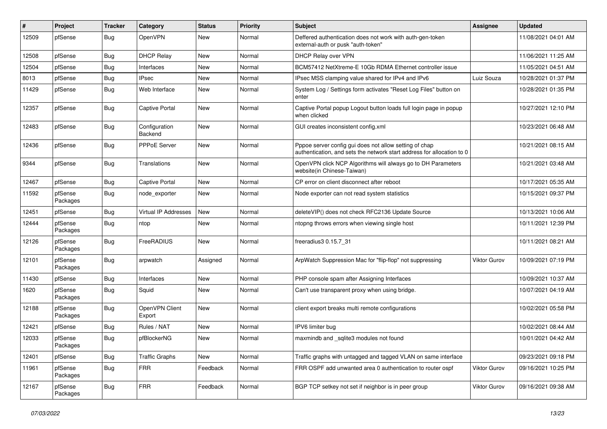| $\sharp$ | Project             | <b>Tracker</b> | Category                 | <b>Status</b> | <b>Priority</b> | Subject                                                                                                                          | <b>Assignee</b> | <b>Updated</b>      |
|----------|---------------------|----------------|--------------------------|---------------|-----------------|----------------------------------------------------------------------------------------------------------------------------------|-----------------|---------------------|
| 12509    | pfSense             | <b>Bug</b>     | OpenVPN                  | New           | Normal          | Deffered authentication does not work with auth-gen-token<br>external-auth or pusk "auth-token"                                  |                 | 11/08/2021 04:01 AM |
| 12508    | pfSense             | Bug            | <b>DHCP Relay</b>        | New           | Normal          | DHCP Relay over VPN                                                                                                              |                 | 11/06/2021 11:25 AM |
| 12504    | pfSense             | <b>Bug</b>     | Interfaces               | New           | Normal          | BCM57412 NetXtreme-E 10Gb RDMA Ethernet controller issue                                                                         |                 | 11/05/2021 04:51 AM |
| 8013     | pfSense             | <b>Bug</b>     | <b>IPsec</b>             | <b>New</b>    | Normal          | IPsec MSS clamping value shared for IPv4 and IPv6                                                                                | Luiz Souza      | 10/28/2021 01:37 PM |
| 11429    | pfSense             | <b>Bug</b>     | Web Interface            | New           | Normal          | System Log / Settings form activates "Reset Log Files" button on<br>enter                                                        |                 | 10/28/2021 01:35 PM |
| 12357    | pfSense             | <b>Bug</b>     | <b>Captive Portal</b>    | <b>New</b>    | Normal          | Captive Portal popup Logout button loads full login page in popup<br>when clicked                                                |                 | 10/27/2021 12:10 PM |
| 12483    | pfSense             | <b>Bug</b>     | Configuration<br>Backend | <b>New</b>    | Normal          | GUI creates inconsistent config.xml                                                                                              |                 | 10/23/2021 06:48 AM |
| 12436    | pfSense             | <b>Bug</b>     | PPPoE Server             | <b>New</b>    | Normal          | Pppoe server config gui does not allow setting of chap<br>authentication, and sets the network start address for allocation to 0 |                 | 10/21/2021 08:15 AM |
| 9344     | pfSense             | <b>Bug</b>     | <b>Translations</b>      | New           | Normal          | OpenVPN click NCP Algorithms will always go to DH Parameters<br>website(in Chinese-Taiwan)                                       |                 | 10/21/2021 03:48 AM |
| 12467    | pfSense             | <b>Bug</b>     | <b>Captive Portal</b>    | <b>New</b>    | Normal          | CP error on client disconnect after reboot                                                                                       |                 | 10/17/2021 05:35 AM |
| 11592    | pfSense<br>Packages | <b>Bug</b>     | node_exporter            | New           | Normal          | Node exporter can not read system statistics                                                                                     |                 | 10/15/2021 09:37 PM |
| 12451    | pfSense             | <b>Bug</b>     | Virtual IP Addresses     | <b>New</b>    | Normal          | deleteVIP() does not check RFC2136 Update Source                                                                                 |                 | 10/13/2021 10:06 AM |
| 12444    | pfSense<br>Packages | Bug            | ntop                     | New           | Normal          | ntopng throws errors when viewing single host                                                                                    |                 | 10/11/2021 12:39 PM |
| 12126    | pfSense<br>Packages | <b>Bug</b>     | FreeRADIUS               | <b>New</b>    | Normal          | freeradius3 0.15.7 31                                                                                                            |                 | 10/11/2021 08:21 AM |
| 12101    | pfSense<br>Packages | <b>Bug</b>     | arpwatch                 | Assigned      | Normal          | ArpWatch Suppression Mac for "flip-flop" not suppressing                                                                         | Viktor Gurov    | 10/09/2021 07:19 PM |
| 11430    | pfSense             | Bug            | Interfaces               | New           | Normal          | PHP console spam after Assigning Interfaces                                                                                      |                 | 10/09/2021 10:37 AM |
| 1620     | pfSense<br>Packages | Bug            | Squid                    | New           | Normal          | Can't use transparent proxy when using bridge.                                                                                   |                 | 10/07/2021 04:19 AM |
| 12188    | pfSense<br>Packages | <b>Bug</b>     | OpenVPN Client<br>Export | <b>New</b>    | Normal          | client export breaks multi remote configurations                                                                                 |                 | 10/02/2021 05:58 PM |
| 12421    | pfSense             | <b>Bug</b>     | Rules / NAT              | New           | Normal          | IPV6 limiter bug                                                                                                                 |                 | 10/02/2021 08:44 AM |
| 12033    | pfSense<br>Packages | <b>Bug</b>     | pfBlockerNG              | New           | Normal          | maxmindb and sqlite3 modules not found                                                                                           |                 | 10/01/2021 04:42 AM |
| 12401    | pfSense             | <b>Bug</b>     | <b>Traffic Graphs</b>    | New           | Normal          | Traffic graphs with untagged and tagged VLAN on same interface                                                                   |                 | 09/23/2021 09:18 PM |
| 11961    | pfSense<br>Packages | Bug            | <b>FRR</b>               | Feedback      | Normal          | FRR OSPF add unwanted area 0 authentication to router ospf                                                                       | Viktor Gurov    | 09/16/2021 10:25 PM |
| 12167    | pfSense<br>Packages | <b>Bug</b>     | <b>FRR</b>               | Feedback      | Normal          | BGP TCP setkey not set if neighbor is in peer group                                                                              | Viktor Gurov    | 09/16/2021 09:38 AM |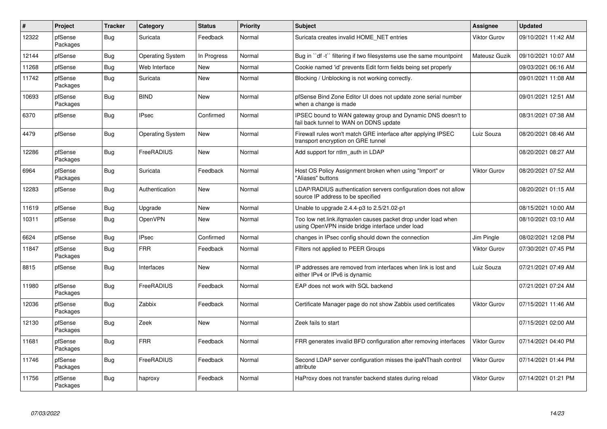| $\vert$ # | Project             | <b>Tracker</b> | Category                | <b>Status</b> | <b>Priority</b> | <b>Subject</b>                                                                                                    | <b>Assignee</b>     | <b>Updated</b>      |
|-----------|---------------------|----------------|-------------------------|---------------|-----------------|-------------------------------------------------------------------------------------------------------------------|---------------------|---------------------|
| 12322     | pfSense<br>Packages | <b>Bug</b>     | Suricata                | Feedback      | Normal          | Suricata creates invalid HOME NET entries                                                                         | <b>Viktor Gurov</b> | 09/10/2021 11:42 AM |
| 12144     | pfSense             | Bug            | <b>Operating System</b> | In Progress   | Normal          | Bug in "df -t" filtering if two filesystems use the same mountpoint                                               | Mateusz Guzik       | 09/10/2021 10:07 AM |
| 11268     | pfSense             | Bug            | Web Interface           | <b>New</b>    | Normal          | Cookie named 'id' prevents Edit form fields being set properly                                                    |                     | 09/03/2021 06:16 AM |
| 11742     | pfSense<br>Packages | Bug            | Suricata                | <b>New</b>    | Normal          | Blocking / Unblocking is not working correctly.                                                                   |                     | 09/01/2021 11:08 AM |
| 10693     | pfSense<br>Packages | <b>Bug</b>     | <b>BIND</b>             | <b>New</b>    | Normal          | pfSense Bind Zone Editor UI does not update zone serial number<br>when a change is made                           |                     | 09/01/2021 12:51 AM |
| 6370      | pfSense             | Bug            | <b>IPsec</b>            | Confirmed     | Normal          | IPSEC bound to WAN gateway group and Dynamic DNS doesn't to<br>fail back tunnel to WAN on DDNS update             |                     | 08/31/2021 07:38 AM |
| 4479      | pfSense             | <b>Bug</b>     | <b>Operating System</b> | <b>New</b>    | Normal          | Firewall rules won't match GRE interface after applying IPSEC<br>transport encryption on GRE tunnel               | Luiz Souza          | 08/20/2021 08:46 AM |
| 12286     | pfSense<br>Packages | <b>Bug</b>     | FreeRADIUS              | New           | Normal          | Add support for ntlm auth in LDAP                                                                                 |                     | 08/20/2021 08:27 AM |
| 6964      | pfSense<br>Packages | <b>Bug</b>     | Suricata                | Feedback      | Normal          | Host OS Policy Assignment broken when using "Import" or<br>"Aliases" buttons                                      | <b>Viktor Gurov</b> | 08/20/2021 07:52 AM |
| 12283     | pfSense             | Bug            | Authentication          | New           | Normal          | LDAP/RADIUS authentication servers configuration does not allow<br>source IP address to be specified              |                     | 08/20/2021 01:15 AM |
| 11619     | pfSense             | <b>Bug</b>     | Upgrade                 | <b>New</b>    | Normal          | Unable to upgrade 2.4.4-p3 to 2.5/21.02-p1                                                                        |                     | 08/15/2021 10:00 AM |
| 10311     | pfSense             | <b>Bug</b>     | OpenVPN                 | New           | Normal          | Too low net.link.ifqmaxlen causes packet drop under load when<br>using OpenVPN inside bridge interface under load |                     | 08/10/2021 03:10 AM |
| 6624      | pfSense             | <b>Bug</b>     | <b>IPsec</b>            | Confirmed     | Normal          | changes in IPsec config should down the connection                                                                | Jim Pingle          | 08/02/2021 12:08 PM |
| 11847     | pfSense<br>Packages | Bug            | <b>FRR</b>              | Feedback      | Normal          | Filters not applied to PEER Groups                                                                                | <b>Viktor Gurov</b> | 07/30/2021 07:45 PM |
| 8815      | pfSense             | Bug            | Interfaces              | <b>New</b>    | Normal          | IP addresses are removed from interfaces when link is lost and<br>either IPv4 or IPv6 is dynamic                  | Luiz Souza          | 07/21/2021 07:49 AM |
| 11980     | pfSense<br>Packages | Bug            | FreeRADIUS              | Feedback      | Normal          | EAP does not work with SQL backend                                                                                |                     | 07/21/2021 07:24 AM |
| 12036     | pfSense<br>Packages | Bug            | Zabbix                  | Feedback      | Normal          | Certificate Manager page do not show Zabbix used certificates                                                     | <b>Viktor Gurov</b> | 07/15/2021 11:46 AM |
| 12130     | pfSense<br>Packages | Bug            | Zeek                    | <b>New</b>    | Normal          | Zeek fails to start                                                                                               |                     | 07/15/2021 02:00 AM |
| 11681     | pfSense<br>Packages | <b>Bug</b>     | <b>FRR</b>              | Feedback      | Normal          | FRR generates invalid BFD configuration after removing interfaces                                                 | <b>Viktor Gurov</b> | 07/14/2021 04:40 PM |
| 11746     | pfSense<br>Packages | <b>Bug</b>     | FreeRADIUS              | Feedback      | Normal          | Second LDAP server configuration misses the ipaNThash control<br>attribute                                        | <b>Viktor Gurov</b> | 07/14/2021 01:44 PM |
| 11756     | pfSense<br>Packages | <b>Bug</b>     | haproxy                 | Feedback      | Normal          | HaProxy does not transfer backend states during reload                                                            | <b>Viktor Gurov</b> | 07/14/2021 01:21 PM |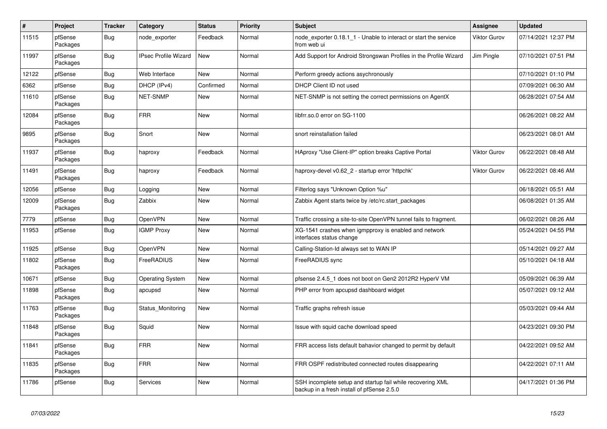| $\#$  | Project             | <b>Tracker</b> | Category                    | <b>Status</b> | <b>Priority</b> | <b>Subject</b>                                                                                           | Assignee     | <b>Updated</b>      |
|-------|---------------------|----------------|-----------------------------|---------------|-----------------|----------------------------------------------------------------------------------------------------------|--------------|---------------------|
| 11515 | pfSense<br>Packages | Bug            | node exporter               | Feedback      | Normal          | node exporter 0.18.1 1 - Unable to interact or start the service<br>from web ui                          | Viktor Gurov | 07/14/2021 12:37 PM |
| 11997 | pfSense<br>Packages | <b>Bug</b>     | <b>IPsec Profile Wizard</b> | New           | Normal          | Add Support for Android Strongswan Profiles in the Profile Wizard                                        | Jim Pingle   | 07/10/2021 07:51 PM |
| 12122 | pfSense             | <b>Bug</b>     | Web Interface               | <b>New</b>    | Normal          | Perform greedy actions asychronously                                                                     |              | 07/10/2021 01:10 PM |
| 6362  | pfSense             | <b>Bug</b>     | DHCP (IPv4)                 | Confirmed     | Normal          | DHCP Client ID not used                                                                                  |              | 07/09/2021 06:30 AM |
| 11610 | pfSense<br>Packages | <b>Bug</b>     | NET-SNMP                    | <b>New</b>    | Normal          | NET-SNMP is not setting the correct permissions on AgentX                                                |              | 06/28/2021 07:54 AM |
| 12084 | pfSense<br>Packages | Bug            | <b>FRR</b>                  | <b>New</b>    | Normal          | libfrr.so.0 error on SG-1100                                                                             |              | 06/26/2021 08:22 AM |
| 9895  | pfSense<br>Packages | Bug            | Snort                       | <b>New</b>    | Normal          | snort reinstallation failed                                                                              |              | 06/23/2021 08:01 AM |
| 11937 | pfSense<br>Packages | Bug            | haproxy                     | Feedback      | Normal          | HAproxy "Use Client-IP" option breaks Captive Portal                                                     | Viktor Gurov | 06/22/2021 08:48 AM |
| 11491 | pfSense<br>Packages | <b>Bug</b>     | haproxy                     | Feedback      | Normal          | haproxy-devel v0.62 2 - startup error 'httpchk'                                                          | Viktor Gurov | 06/22/2021 08:46 AM |
| 12056 | pfSense             | <b>Bug</b>     | Logging                     | <b>New</b>    | Normal          | Filterlog says "Unknown Option %u"                                                                       |              | 06/18/2021 05:51 AM |
| 12009 | pfSense<br>Packages | <b>Bug</b>     | Zabbix                      | New           | Normal          | Zabbix Agent starts twice by /etc/rc.start packages                                                      |              | 06/08/2021 01:35 AM |
| 7779  | pfSense             | <b>Bug</b>     | OpenVPN                     | <b>New</b>    | Normal          | Traffic crossing a site-to-site OpenVPN tunnel fails to fragment.                                        |              | 06/02/2021 08:26 AM |
| 11953 | pfSense             | Bug            | <b>IGMP Proxy</b>           | <b>New</b>    | Normal          | XG-1541 crashes when igmpproxy is enabled and network<br>interfaces status change                        |              | 05/24/2021 04:55 PM |
| 11925 | pfSense             | <b>Bug</b>     | OpenVPN                     | <b>New</b>    | Normal          | Calling-Station-Id always set to WAN IP                                                                  |              | 05/14/2021 09:27 AM |
| 11802 | pfSense<br>Packages | <b>Bug</b>     | FreeRADIUS                  | <b>New</b>    | Normal          | FreeRADIUS sync                                                                                          |              | 05/10/2021 04:18 AM |
| 10671 | pfSense             | <b>Bug</b>     | <b>Operating System</b>     | <b>New</b>    | Normal          | pfsense 2.4.5 1 does not boot on Gen2 2012R2 HyperV VM                                                   |              | 05/09/2021 06:39 AM |
| 11898 | pfSense<br>Packages | <b>Bug</b>     | apcupsd                     | New           | Normal          | PHP error from apcupsd dashboard widget                                                                  |              | 05/07/2021 09:12 AM |
| 11763 | pfSense<br>Packages | <b>Bug</b>     | Status_Monitoring           | <b>New</b>    | Normal          | Traffic graphs refresh issue                                                                             |              | 05/03/2021 09:44 AM |
| 11848 | pfSense<br>Packages | <b>Bug</b>     | Squid                       | <b>New</b>    | Normal          | Issue with squid cache download speed                                                                    |              | 04/23/2021 09:30 PM |
| 11841 | pfSense<br>Packages | <b>Bug</b>     | <b>FRR</b>                  | <b>New</b>    | Normal          | FRR access lists default bahavior changed to permit by default                                           |              | 04/22/2021 09:52 AM |
| 11835 | pfSense<br>Packages | <b>Bug</b>     | <b>FRR</b>                  | <b>New</b>    | Normal          | FRR OSPF redistributed connected routes disappearing                                                     |              | 04/22/2021 07:11 AM |
| 11786 | pfSense             | <b>Bug</b>     | Services                    | <b>New</b>    | Normal          | SSH incomplete setup and startup fail while recovering XML<br>backup in a fresh install of pfSense 2.5.0 |              | 04/17/2021 01:36 PM |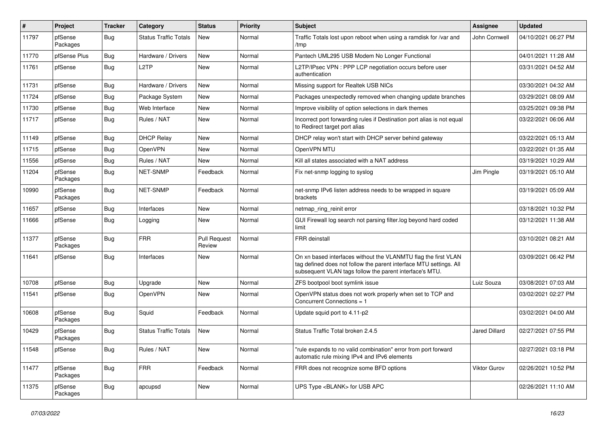| #     | Project             | <b>Tracker</b> | Category                     | <b>Status</b>          | <b>Priority</b> | <b>Subject</b>                                                                                                                                                                                  | Assignee             | <b>Updated</b>      |
|-------|---------------------|----------------|------------------------------|------------------------|-----------------|-------------------------------------------------------------------------------------------------------------------------------------------------------------------------------------------------|----------------------|---------------------|
| 11797 | pfSense<br>Packages | <b>Bug</b>     | <b>Status Traffic Totals</b> | New                    | Normal          | Traffic Totals lost upon reboot when using a ramdisk for /var and<br>/tmp                                                                                                                       | John Cornwell        | 04/10/2021 06:27 PM |
| 11770 | pfSense Plus        | <b>Bug</b>     | Hardware / Drivers           | <b>New</b>             | Normal          | Pantech UML295 USB Modem No Longer Functional                                                                                                                                                   |                      | 04/01/2021 11:28 AM |
| 11761 | pfSense             | Bug            | L <sub>2</sub> TP            | New                    | Normal          | L2TP/IPsec VPN : PPP LCP negotiation occurs before user<br>authentication                                                                                                                       |                      | 03/31/2021 04:52 AM |
| 11731 | pfSense             | <b>Bug</b>     | Hardware / Drivers           | <b>New</b>             | Normal          | Missing support for Realtek USB NICs                                                                                                                                                            |                      | 03/30/2021 04:32 AM |
| 11724 | pfSense             | <b>Bug</b>     | Package System               | New                    | Normal          | Packages unexpectedly removed when changing update branches                                                                                                                                     |                      | 03/29/2021 08:09 AM |
| 11730 | pfSense             | Bug            | Web Interface                | New                    | Normal          | Improve visibility of option selections in dark themes                                                                                                                                          |                      | 03/25/2021 09:38 PM |
| 11717 | pfSense             | <b>Bug</b>     | Rules / NAT                  | New                    | Normal          | Incorrect port forwarding rules if Destination port alias is not equal<br>to Redirect target port alias                                                                                         |                      | 03/22/2021 06:06 AM |
| 11149 | pfSense             | <b>Bug</b>     | <b>DHCP Relay</b>            | New                    | Normal          | DHCP relay won't start with DHCP server behind gateway                                                                                                                                          |                      | 03/22/2021 05:13 AM |
| 11715 | pfSense             | <b>Bug</b>     | OpenVPN                      | New                    | Normal          | OpenVPN MTU                                                                                                                                                                                     |                      | 03/22/2021 01:35 AM |
| 11556 | pfSense             | Bug            | Rules / NAT                  | <b>New</b>             | Normal          | Kill all states associated with a NAT address                                                                                                                                                   |                      | 03/19/2021 10:29 AM |
| 11204 | pfSense<br>Packages | <b>Bug</b>     | <b>NET-SNMP</b>              | Feedback               | Normal          | Fix net-snmp logging to syslog                                                                                                                                                                  | Jim Pingle           | 03/19/2021 05:10 AM |
| 10990 | pfSense<br>Packages | Bug            | <b>NET-SNMP</b>              | Feedback               | Normal          | net-snmp IPv6 listen address needs to be wrapped in square<br>brackets                                                                                                                          |                      | 03/19/2021 05:09 AM |
| 11657 | pfSense             | <b>Bug</b>     | Interfaces                   | <b>New</b>             | Normal          | netmap_ring_reinit error                                                                                                                                                                        |                      | 03/18/2021 10:32 PM |
| 11666 | pfSense             | Bug            | Logging                      | New                    | Normal          | GUI Firewall log search not parsing filter.log beyond hard coded<br>limit                                                                                                                       |                      | 03/12/2021 11:38 AM |
| 11377 | pfSense<br>Packages | <b>Bug</b>     | <b>FRR</b>                   | Pull Request<br>Review | Normal          | <b>FRR</b> deinstall                                                                                                                                                                            |                      | 03/10/2021 08:21 AM |
| 11641 | pfSense             | Bug            | Interfaces                   | New                    | Normal          | On xn based interfaces without the VLANMTU flag the first VLAN<br>tag defined does not follow the parent interface MTU settings. All<br>subsequent VLAN tags follow the parent interface's MTU. |                      | 03/09/2021 06:42 PM |
| 10708 | pfSense             | <b>Bug</b>     | Upgrade                      | New                    | Normal          | ZFS bootpool boot symlink issue                                                                                                                                                                 | Luiz Souza           | 03/08/2021 07:03 AM |
| 11541 | pfSense             | Bug            | <b>OpenVPN</b>               | <b>New</b>             | Normal          | OpenVPN status does not work properly when set to TCP and<br>Concurrent Connections = 1                                                                                                         |                      | 03/02/2021 02:27 PM |
| 10608 | pfSense<br>Packages | <b>Bug</b>     | Squid                        | Feedback               | Normal          | Update squid port to 4.11-p2                                                                                                                                                                    |                      | 03/02/2021 04:00 AM |
| 10429 | pfSense<br>Packages | Bug            | <b>Status Traffic Totals</b> | <b>New</b>             | Normal          | Status Traffic Total broken 2.4.5                                                                                                                                                               | <b>Jared Dillard</b> | 02/27/2021 07:55 PM |
| 11548 | pfSense             | <b>Bug</b>     | Rules / NAT                  | New                    | Normal          | "rule expands to no valid combination" error from port forward<br>automatic rule mixing IPv4 and IPv6 elements                                                                                  |                      | 02/27/2021 03:18 PM |
| 11477 | pfSense<br>Packages | Bug            | FRR                          | Feedback               | Normal          | FRR does not recognize some BFD options                                                                                                                                                         | Viktor Gurov         | 02/26/2021 10:52 PM |
| 11375 | pfSense<br>Packages | <b>Bug</b>     | apcupsd                      | New                    | Normal          | UPS Type <blank> for USB APC</blank>                                                                                                                                                            |                      | 02/26/2021 11:10 AM |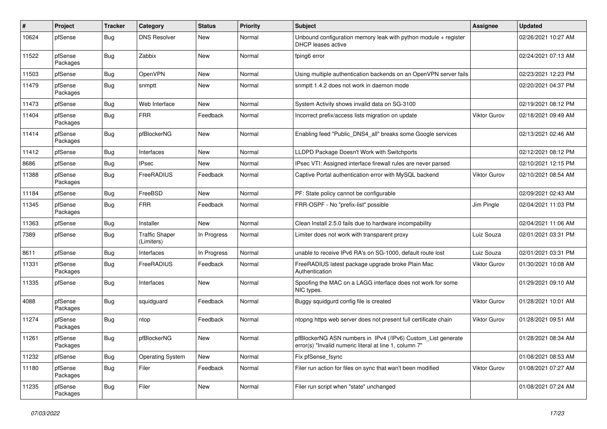| #     | Project             | <b>Tracker</b> | Category                            | <b>Status</b> | <b>Priority</b> | Subject                                                                                                                | <b>Assignee</b>     | <b>Updated</b>      |
|-------|---------------------|----------------|-------------------------------------|---------------|-----------------|------------------------------------------------------------------------------------------------------------------------|---------------------|---------------------|
| 10624 | pfSense             | Bug            | <b>DNS Resolver</b>                 | New           | Normal          | Unbound configuration memory leak with python module $+$ register<br>DHCP leases active                                |                     | 02/26/2021 10:27 AM |
| 11522 | pfSense<br>Packages | <b>Bug</b>     | Zabbix                              | <b>New</b>    | Normal          | fping6 error                                                                                                           |                     | 02/24/2021 07:13 AM |
| 11503 | pfSense             | <b>Bug</b>     | OpenVPN                             | New           | Normal          | Using multiple authentication backends on an OpenVPN server fails                                                      |                     | 02/23/2021 12:23 PM |
| 11479 | pfSense<br>Packages | <b>Bug</b>     | snmptt                              | New           | Normal          | snmptt 1.4.2 does not work in daemon mode                                                                              |                     | 02/20/2021 04:37 PM |
| 11473 | pfSense             | <b>Bug</b>     | Web Interface                       | <b>New</b>    | Normal          | System Activity shows invalid data on SG-3100                                                                          |                     | 02/19/2021 08:12 PM |
| 11404 | pfSense<br>Packages | <b>Bug</b>     | <b>FRR</b>                          | Feedback      | Normal          | Incorrect prefix/access lists migration on update                                                                      | <b>Viktor Gurov</b> | 02/18/2021 09:49 AM |
| 11414 | pfSense<br>Packages | <b>Bug</b>     | pfBlockerNG                         | New           | Normal          | Enabling feed "Public DNS4 all" breaks some Google services                                                            |                     | 02/13/2021 02:46 AM |
| 11412 | pfSense             | <b>Bug</b>     | Interfaces                          | New           | Normal          | LLDPD Package Doesn't Work with Switchports                                                                            |                     | 02/12/2021 08:12 PM |
| 8686  | pfSense             | Bug            | <b>IPsec</b>                        | <b>New</b>    | Normal          | IPsec VTI: Assigned interface firewall rules are never parsed                                                          |                     | 02/10/2021 12:15 PM |
| 11388 | pfSense<br>Packages | Bug            | FreeRADIUS                          | Feedback      | Normal          | Captive Portal authentication error with MySQL backend                                                                 | <b>Viktor Gurov</b> | 02/10/2021 08:54 AM |
| 11184 | pfSense             | <b>Bug</b>     | FreeBSD                             | New           | Normal          | PF: State policy cannot be configurable                                                                                |                     | 02/09/2021 02:43 AM |
| 11345 | pfSense<br>Packages | <b>Bug</b>     | <b>FRR</b>                          | Feedback      | Normal          | FRR-OSPF - No "prefix-list" possible                                                                                   | Jim Pingle          | 02/04/2021 11:03 PM |
| 11363 | pfSense             | Bug            | Installer                           | <b>New</b>    | Normal          | Clean Install 2.5.0 fails due to hardware incompability                                                                |                     | 02/04/2021 11:06 AM |
| 7389  | pfSense             | <b>Bug</b>     | <b>Traffic Shaper</b><br>(Limiters) | In Progress   | Normal          | Limiter does not work with transparent proxy                                                                           | Luiz Souza          | 02/01/2021 03:31 PM |
| 8611  | pfSense             | <b>Bug</b>     | Interfaces                          | In Progress   | Normal          | unable to receive IPv6 RA's on SG-1000, default route lost                                                             | Luiz Souza          | 02/01/2021 03:31 PM |
| 11331 | pfSense<br>Packages | <b>Bug</b>     | FreeRADIUS                          | Feedback      | Normal          | FreeRADIUS latest package upgrade broke Plain Mac<br>Authentication                                                    | <b>Viktor Gurov</b> | 01/30/2021 10:08 AM |
| 11335 | pfSense             | Bug            | Interfaces                          | New           | Normal          | Spoofing the MAC on a LAGG interface does not work for some<br>NIC types.                                              |                     | 01/29/2021 09:10 AM |
| 4088  | pfSense<br>Packages | Bug            | squidguard                          | Feedback      | Normal          | Buggy squidgurd config file is created                                                                                 | <b>Viktor Gurov</b> | 01/28/2021 10:01 AM |
| 11274 | pfSense<br>Packages | <b>Bug</b>     | ntop                                | Feedback      | Normal          | ntopng https web server does not present full certificate chain                                                        | <b>Viktor Gurov</b> | 01/28/2021 09:51 AM |
| 11261 | pfSense<br>Packages | <b>Bug</b>     | pfBlockerNG                         | New           | Normal          | pfBlockerNG ASN numbers in IPv4 (/IPv6) Custom_List generate<br>error(s) "Invalid numeric literal at line 1, column 7" |                     | 01/28/2021 08:34 AM |
| 11232 | pfSense             | <b>Bug</b>     | <b>Operating System</b>             | New           | Normal          | Fix pfSense_fsync                                                                                                      |                     | 01/08/2021 08:53 AM |
| 11180 | pfSense<br>Packages | <b>Bug</b>     | Filer                               | Feedback      | Normal          | Filer run action for files on sync that wan't been modified                                                            | Viktor Gurov        | 01/08/2021 07:27 AM |
| 11235 | pfSense<br>Packages | <b>Bug</b>     | Filer                               | New           | Normal          | Filer run script when "state" unchanged                                                                                |                     | 01/08/2021 07:24 AM |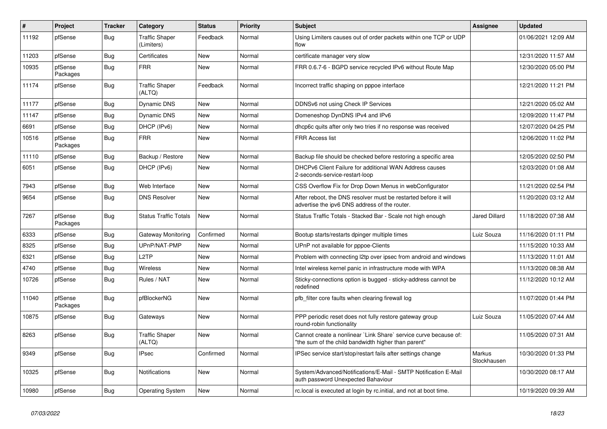| $\vert$ # | Project             | <b>Tracker</b> | Category                            | <b>Status</b> | <b>Priority</b> | <b>Subject</b>                                                                                                          | <b>Assignee</b>       | <b>Updated</b>      |
|-----------|---------------------|----------------|-------------------------------------|---------------|-----------------|-------------------------------------------------------------------------------------------------------------------------|-----------------------|---------------------|
| 11192     | pfSense             | Bug            | <b>Traffic Shaper</b><br>(Limiters) | Feedback      | Normal          | Using Limiters causes out of order packets within one TCP or UDP<br>flow                                                |                       | 01/06/2021 12:09 AM |
| 11203     | pfSense             | Bug            | Certificates                        | New           | Normal          | certificate manager very slow                                                                                           |                       | 12/31/2020 11:57 AM |
| 10935     | pfSense<br>Packages | Bug            | <b>FRR</b>                          | <b>New</b>    | Normal          | FRR 0.6.7-6 - BGPD service recycled IPv6 without Route Map                                                              |                       | 12/30/2020 05:00 PM |
| 11174     | pfSense             | Bug            | <b>Traffic Shaper</b><br>(ALTQ)     | Feedback      | Normal          | Incorrect traffic shaping on pppoe interface                                                                            |                       | 12/21/2020 11:21 PM |
| 11177     | pfSense             | <b>Bug</b>     | Dynamic DNS                         | <b>New</b>    | Normal          | DDNSv6 not using Check IP Services                                                                                      |                       | 12/21/2020 05:02 AM |
| 11147     | pfSense             | Bug            | Dynamic DNS                         | New           | Normal          | Domeneshop DynDNS IPv4 and IPv6                                                                                         |                       | 12/09/2020 11:47 PM |
| 6691      | pfSense             | Bug            | DHCP (IPv6)                         | New           | Normal          | dhcp6c quits after only two tries if no response was received                                                           |                       | 12/07/2020 04:25 PM |
| 10516     | pfSense<br>Packages | Bug            | <b>FRR</b>                          | <b>New</b>    | Normal          | <b>FRR Access list</b>                                                                                                  |                       | 12/06/2020 11:02 PM |
| 11110     | pfSense             | Bug            | Backup / Restore                    | New           | Normal          | Backup file should be checked before restoring a specific area                                                          |                       | 12/05/2020 02:50 PM |
| 6051      | pfSense             | Bug            | DHCP (IPv6)                         | New           | Normal          | DHCPv6 Client Failure for additional WAN Address causes<br>2-seconds-service-restart-loop                               |                       | 12/03/2020 01:08 AM |
| 7943      | pfSense             | Bug            | Web Interface                       | <b>New</b>    | Normal          | CSS Overflow Fix for Drop Down Menus in webConfigurator                                                                 |                       | 11/21/2020 02:54 PM |
| 9654      | pfSense             | Bug            | <b>DNS Resolver</b>                 | <b>New</b>    | Normal          | After reboot, the DNS resolver must be restarted before it will<br>advertise the ipv6 DNS address of the router.        |                       | 11/20/2020 03:12 AM |
| 7267      | pfSense<br>Packages | Bug            | <b>Status Traffic Totals</b>        | <b>New</b>    | Normal          | Status Traffic Totals - Stacked Bar - Scale not high enough                                                             | Jared Dillard         | 11/18/2020 07:38 AM |
| 6333      | pfSense             | Bug            | Gateway Monitoring                  | Confirmed     | Normal          | Bootup starts/restarts dpinger multiple times                                                                           | Luiz Souza            | 11/16/2020 01:11 PM |
| 8325      | pfSense             | <b>Bug</b>     | UPnP/NAT-PMP                        | <b>New</b>    | Normal          | UPnP not available for pppoe-Clients                                                                                    |                       | 11/15/2020 10:33 AM |
| 6321      | pfSense             | <b>Bug</b>     | L2TP                                | New           | Normal          | Problem with connecting I2tp over ipsec from android and windows                                                        |                       | 11/13/2020 11:01 AM |
| 4740      | pfSense             | Bug            | Wireless                            | New           | Normal          | Intel wireless kernel panic in infrastructure mode with WPA                                                             |                       | 11/13/2020 08:38 AM |
| 10726     | pfSense             | Bug            | Rules / NAT                         | New           | Normal          | Sticky-connections option is bugged - sticky-address cannot be<br>redefined                                             |                       | 11/12/2020 10:12 AM |
| 11040     | pfSense<br>Packages | Bug            | pfBlockerNG                         | <b>New</b>    | Normal          | pfb filter core faults when clearing firewall log                                                                       |                       | 11/07/2020 01:44 PM |
| 10875     | pfSense             | Bug            | Gateways                            | New           | Normal          | PPP periodic reset does not fully restore gateway group<br>round-robin functionality                                    | Luiz Souza            | 11/05/2020 07:44 AM |
| 8263      | pfSense             | <b>Bug</b>     | <b>Traffic Shaper</b><br>(ALTQ)     | <b>New</b>    | Normal          | Cannot create a nonlinear `Link Share` service curve because of:<br>'the sum of the child bandwidth higher than parent" |                       | 11/05/2020 07:31 AM |
| 9349      | pfSense             | Bug            | <b>IPsec</b>                        | Confirmed     | Normal          | IPSec service start/stop/restart fails after settings change                                                            | Markus<br>Stockhausen | 10/30/2020 01:33 PM |
| 10325     | pfSense             | Bug            | <b>Notifications</b>                | New           | Normal          | System/Advanced/Notifications/E-Mail - SMTP Notification E-Mail<br>auth password Unexpected Bahaviour                   |                       | 10/30/2020 08:17 AM |
| 10980     | pfSense             | <b>Bug</b>     | <b>Operating System</b>             | New           | Normal          | rc.local is executed at login by rc.initial, and not at boot time.                                                      |                       | 10/19/2020 09:39 AM |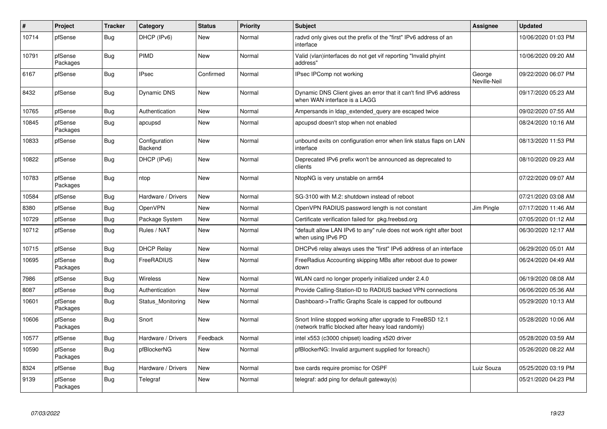| $\#$  | Project             | <b>Tracker</b> | Category                 | <b>Status</b> | <b>Priority</b> | <b>Subject</b>                                                                                                    | <b>Assignee</b>        | <b>Updated</b>      |
|-------|---------------------|----------------|--------------------------|---------------|-----------------|-------------------------------------------------------------------------------------------------------------------|------------------------|---------------------|
| 10714 | pfSense             | Bug            | DHCP (IPv6)              | <b>New</b>    | Normal          | radvd only gives out the prefix of the "first" IPv6 address of an<br>interface                                    |                        | 10/06/2020 01:03 PM |
| 10791 | pfSense<br>Packages | <b>Bug</b>     | <b>PIMD</b>              | <b>New</b>    | Normal          | Valid (vlan)interfaces do not get vif reporting "Invalid phyint<br>address"                                       |                        | 10/06/2020 09:20 AM |
| 6167  | pfSense             | Bug            | <b>IPsec</b>             | Confirmed     | Normal          | IPsec IPComp not working                                                                                          | George<br>Neville-Neil | 09/22/2020 06:07 PM |
| 8432  | pfSense             | <b>Bug</b>     | Dynamic DNS              | New           | Normal          | Dynamic DNS Client gives an error that it can't find IPv6 address<br>when WAN interface is a LAGG                 |                        | 09/17/2020 05:23 AM |
| 10765 | pfSense             | <b>Bug</b>     | Authentication           | <b>New</b>    | Normal          | Ampersands in Idap_extended_query are escaped twice                                                               |                        | 09/02/2020 07:55 AM |
| 10845 | pfSense<br>Packages | Bug            | apcupsd                  | <b>New</b>    | Normal          | apcupsd doesn't stop when not enabled                                                                             |                        | 08/24/2020 10:16 AM |
| 10833 | pfSense             | Bug            | Configuration<br>Backend | <b>New</b>    | Normal          | unbound exits on configuration error when link status flaps on LAN<br>interface                                   |                        | 08/13/2020 11:53 PM |
| 10822 | pfSense             | <b>Bug</b>     | DHCP (IPv6)              | <b>New</b>    | Normal          | Deprecated IPv6 prefix won't be announced as deprecated to<br>clients                                             |                        | 08/10/2020 09:23 AM |
| 10783 | pfSense<br>Packages | <b>Bug</b>     | ntop                     | New           | Normal          | NtopNG is very unstable on arm64                                                                                  |                        | 07/22/2020 09:07 AM |
| 10584 | pfSense             | Bug            | Hardware / Drivers       | <b>New</b>    | Normal          | SG-3100 with M.2: shutdown instead of reboot                                                                      |                        | 07/21/2020 03:08 AM |
| 8380  | pfSense             | <b>Bug</b>     | OpenVPN                  | <b>New</b>    | Normal          | OpenVPN RADIUS password length is not constant                                                                    | Jim Pingle             | 07/17/2020 11:46 AM |
| 10729 | pfSense             | Bug            | Package System           | <b>New</b>    | Normal          | Certificate verification failed for pkg.freebsd.org                                                               |                        | 07/05/2020 01:12 AM |
| 10712 | pfSense             | <b>Bug</b>     | Rules / NAT              | <b>New</b>    | Normal          | 'default allow LAN IPv6 to any" rule does not work right after boot<br>when using IPv6 PD                         |                        | 06/30/2020 12:17 AM |
| 10715 | pfSense             | Bug            | <b>DHCP Relay</b>        | <b>New</b>    | Normal          | DHCPv6 relay always uses the "first" IPv6 address of an interface                                                 |                        | 06/29/2020 05:01 AM |
| 10695 | pfSense<br>Packages | <b>Bug</b>     | FreeRADIUS               | <b>New</b>    | Normal          | Free Radius Accounting skipping MBs after reboot due to power<br>down                                             |                        | 06/24/2020 04:49 AM |
| 7986  | pfSense             | Bug            | Wireless                 | <b>New</b>    | Normal          | WLAN card no longer properly initialized under 2.4.0                                                              |                        | 06/19/2020 08:08 AM |
| 8087  | pfSense             | <b>Bug</b>     | Authentication           | New           | Normal          | Provide Calling-Station-ID to RADIUS backed VPN connections                                                       |                        | 06/06/2020 05:36 AM |
| 10601 | pfSense<br>Packages | Bug            | Status_Monitoring        | <b>New</b>    | Normal          | Dashboard->Traffic Graphs Scale is capped for outbound                                                            |                        | 05/29/2020 10:13 AM |
| 10606 | pfSense<br>Packages | <b>Bug</b>     | Snort                    | <b>New</b>    | Normal          | Snort Inline stopped working after upgrade to FreeBSD 12.1<br>(network traffic blocked after heavy load randomly) |                        | 05/28/2020 10:06 AM |
| 10577 | pfSense             | Bug            | Hardware / Drivers       | Feedback      | Normal          | intel x553 (c3000 chipset) loading x520 driver                                                                    |                        | 05/28/2020 03:59 AM |
| 10590 | pfSense<br>Packages | <b>Bug</b>     | pfBlockerNG              | New           | Normal          | pfBlockerNG: Invalid argument supplied for foreach()                                                              |                        | 05/26/2020 08:22 AM |
| 8324  | pfSense             | <b>Bug</b>     | Hardware / Drivers       | New           | Normal          | bxe cards require promisc for OSPF                                                                                | Luiz Souza             | 05/25/2020 03:19 PM |
| 9139  | pfSense<br>Packages | <b>Bug</b>     | Telegraf                 | <b>New</b>    | Normal          | telegraf: add ping for default gateway(s)                                                                         |                        | 05/21/2020 04:23 PM |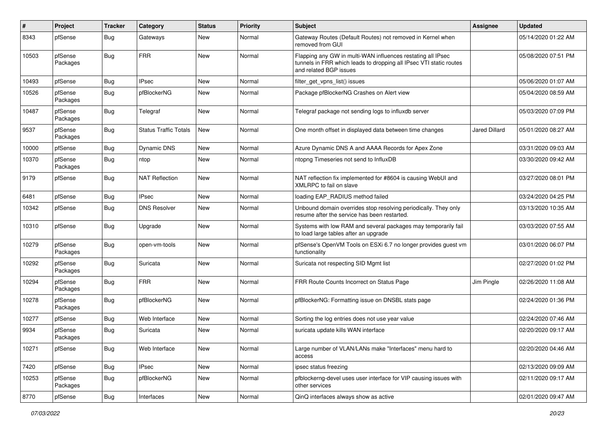| #     | Project             | <b>Tracker</b> | Category                     | <b>Status</b> | <b>Priority</b> | <b>Subject</b>                                                                                                                                              | <b>Assignee</b>      | <b>Updated</b>      |
|-------|---------------------|----------------|------------------------------|---------------|-----------------|-------------------------------------------------------------------------------------------------------------------------------------------------------------|----------------------|---------------------|
| 8343  | pfSense             | <b>Bug</b>     | Gateways                     | New           | Normal          | Gateway Routes (Default Routes) not removed in Kernel when<br>removed from GUI                                                                              |                      | 05/14/2020 01:22 AM |
| 10503 | pfSense<br>Packages | <b>Bug</b>     | <b>FRR</b>                   | New           | Normal          | Flapping any GW in multi-WAN influences restating all IPsec<br>tunnels in FRR which leads to dropping all IPsec VTI static routes<br>and related BGP issues |                      | 05/08/2020 07:51 PM |
| 10493 | pfSense             | <b>Bug</b>     | <b>IPsec</b>                 | New           | Normal          | filter_get_vpns_list() issues                                                                                                                               |                      | 05/06/2020 01:07 AM |
| 10526 | pfSense<br>Packages | <b>Bug</b>     | pfBlockerNG                  | New           | Normal          | Package pfBlockerNG Crashes on Alert view                                                                                                                   |                      | 05/04/2020 08:59 AM |
| 10487 | pfSense<br>Packages | <b>Bug</b>     | Telegraf                     | New           | Normal          | Telegraf package not sending logs to influxdb server                                                                                                        |                      | 05/03/2020 07:09 PM |
| 9537  | pfSense<br>Packages | Bug            | <b>Status Traffic Totals</b> | New           | Normal          | One month offset in displayed data between time changes                                                                                                     | <b>Jared Dillard</b> | 05/01/2020 08:27 AM |
| 10000 | pfSense             | <b>Bug</b>     | Dynamic DNS                  | <b>New</b>    | Normal          | Azure Dynamic DNS A and AAAA Records for Apex Zone                                                                                                          |                      | 03/31/2020 09:03 AM |
| 10370 | pfSense<br>Packages | <b>Bug</b>     | ntop                         | New           | Normal          | ntopng Timeseries not send to InfluxDB                                                                                                                      |                      | 03/30/2020 09:42 AM |
| 9179  | pfSense             | <b>Bug</b>     | <b>NAT Reflection</b>        | New           | Normal          | NAT reflection fix implemented for #8604 is causing WebUI and<br>XMLRPC to fail on slave                                                                    |                      | 03/27/2020 08:01 PM |
| 6481  | pfSense             | Bug            | <b>IPsec</b>                 | New           | Normal          | loading EAP RADIUS method failed                                                                                                                            |                      | 03/24/2020 04:25 PM |
| 10342 | pfSense             | Bug            | <b>DNS Resolver</b>          | <b>New</b>    | Normal          | Unbound domain overrides stop resolving periodically. They only<br>resume after the service has been restarted.                                             |                      | 03/13/2020 10:35 AM |
| 10310 | pfSense             | <b>Bug</b>     | Upgrade                      | New           | Normal          | Systems with low RAM and several packages may temporarily fail<br>to load large tables after an upgrade                                                     |                      | 03/03/2020 07:55 AM |
| 10279 | pfSense<br>Packages | <b>Bug</b>     | open-vm-tools                | New           | Normal          | pfSense's OpenVM Tools on ESXi 6.7 no longer provides guest vm<br>functionality                                                                             |                      | 03/01/2020 06:07 PM |
| 10292 | pfSense<br>Packages | Bug            | Suricata                     | New           | Normal          | Suricata not respecting SID Mgmt list                                                                                                                       |                      | 02/27/2020 01:02 PM |
| 10294 | pfSense<br>Packages | <b>Bug</b>     | <b>FRR</b>                   | New           | Normal          | FRR Route Counts Incorrect on Status Page                                                                                                                   | Jim Pingle           | 02/26/2020 11:08 AM |
| 10278 | pfSense<br>Packages | <b>Bug</b>     | pfBlockerNG                  | New           | Normal          | pfBlockerNG: Formatting issue on DNSBL stats page                                                                                                           |                      | 02/24/2020 01:36 PM |
| 10277 | pfSense             | <b>Bug</b>     | Web Interface                | New           | Normal          | Sorting the log entries does not use year value                                                                                                             |                      | 02/24/2020 07:46 AM |
| 9934  | pfSense<br>Packages | <b>Bug</b>     | Suricata                     | New           | Normal          | suricata update kills WAN interface                                                                                                                         |                      | 02/20/2020 09:17 AM |
| 10271 | pfSense             | <b>Bug</b>     | Web Interface                | New           | Normal          | Large number of VLAN/LANs make "Interfaces" menu hard to<br>access                                                                                          |                      | 02/20/2020 04:46 AM |
| 7420  | pfSense             | Bug            | <b>IPsec</b>                 | New           | Normal          | ipsec status freezing                                                                                                                                       |                      | 02/13/2020 09:09 AM |
| 10253 | pfSense<br>Packages | Bug            | pfBlockerNG                  | New           | Normal          | pfblockerng-devel uses user interface for VIP causing issues with<br>other services                                                                         |                      | 02/11/2020 09:17 AM |
| 8770  | pfSense             | Bug            | Interfaces                   | New           | Normal          | QinQ interfaces always show as active                                                                                                                       |                      | 02/01/2020 09:47 AM |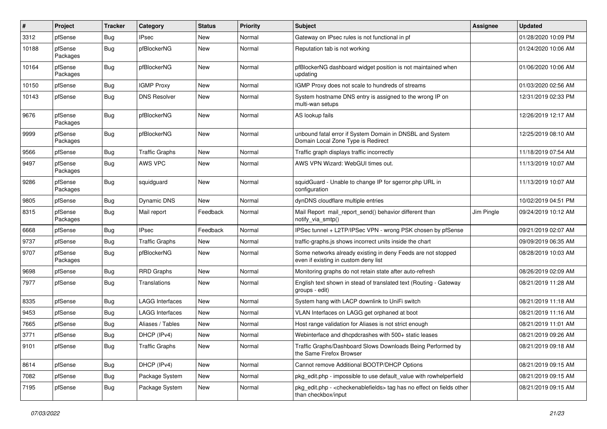| #     | Project             | <b>Tracker</b> | Category               | <b>Status</b> | <b>Priority</b> | Subject                                                                                                          | <b>Assignee</b> | <b>Updated</b>      |
|-------|---------------------|----------------|------------------------|---------------|-----------------|------------------------------------------------------------------------------------------------------------------|-----------------|---------------------|
| 3312  | pfSense             | <b>Bug</b>     | <b>IPsec</b>           | New           | Normal          | Gateway on IPsec rules is not functional in pf                                                                   |                 | 01/28/2020 10:09 PM |
| 10188 | pfSense<br>Packages | <b>Bug</b>     | pfBlockerNG            | New           | Normal          | Reputation tab is not working                                                                                    |                 | 01/24/2020 10:06 AM |
| 10164 | pfSense<br>Packages | <b>Bug</b>     | pfBlockerNG            | New           | Normal          | pfBlockerNG dashboard widget position is not maintained when<br>updating                                         |                 | 01/06/2020 10:06 AM |
| 10150 | pfSense             | <b>Bug</b>     | <b>IGMP Proxy</b>      | <b>New</b>    | Normal          | IGMP Proxy does not scale to hundreds of streams                                                                 |                 | 01/03/2020 02:56 AM |
| 10143 | pfSense             | Bug            | <b>DNS Resolver</b>    | New           | Normal          | System hostname DNS entry is assigned to the wrong IP on<br>multi-wan setups                                     |                 | 12/31/2019 02:33 PM |
| 9676  | pfSense<br>Packages | <b>Bug</b>     | pfBlockerNG            | New           | Normal          | AS lookup fails                                                                                                  |                 | 12/26/2019 12:17 AM |
| 9999  | pfSense<br>Packages | <b>Bug</b>     | pfBlockerNG            | New           | Normal          | unbound fatal error if System Domain in DNSBL and System<br>Domain Local Zone Type is Redirect                   |                 | 12/25/2019 08:10 AM |
| 9566  | pfSense             | <b>Bug</b>     | <b>Traffic Graphs</b>  | New           | Normal          | Traffic graph displays traffic incorrectly                                                                       |                 | 11/18/2019 07:54 AM |
| 9497  | pfSense<br>Packages | Bug            | AWS VPC                | New           | Normal          | AWS VPN Wizard: WebGUI times out.                                                                                |                 | 11/13/2019 10:07 AM |
| 9286  | pfSense<br>Packages | <b>Bug</b>     | squidguard             | New           | Normal          | squidGuard - Unable to change IP for sgerror.php URL in<br>configuration                                         |                 | 11/13/2019 10:07 AM |
| 9805  | pfSense             | Bug            | Dynamic DNS            | New           | Normal          | dynDNS cloudflare multiple entries                                                                               |                 | 10/02/2019 04:51 PM |
| 8315  | pfSense<br>Packages | Bug            | Mail report            | Feedback      | Normal          | Mail Report mail_report_send() behavior different than<br>notify_via_smtp()                                      | Jim Pingle      | 09/24/2019 10:12 AM |
| 6668  | pfSense             | <b>Bug</b>     | <b>IPsec</b>           | Feedback      | Normal          | IPSec tunnel + L2TP/IPSec VPN - wrong PSK chosen by pfSense                                                      |                 | 09/21/2019 02:07 AM |
| 9737  | pfSense             | <b>Bug</b>     | <b>Traffic Graphs</b>  | New           | Normal          | traffic-graphs.js shows incorrect units inside the chart                                                         |                 | 09/09/2019 06:35 AM |
| 9707  | pfSense<br>Packages | <b>Bug</b>     | pfBlockerNG            | New           | Normal          | Some networks already existing in deny Feeds are not stopped<br>even if existing in custom deny list             |                 | 08/28/2019 10:03 AM |
| 9698  | pfSense             | <b>Bug</b>     | <b>RRD Graphs</b>      | New           | Normal          | Monitoring graphs do not retain state after auto-refresh                                                         |                 | 08/26/2019 02:09 AM |
| 7977  | pfSense             | Bug            | Translations           | New           | Normal          | English text shown in stead of translated text (Routing - Gateway<br>groups - edit)                              |                 | 08/21/2019 11:28 AM |
| 8335  | pfSense             | <b>Bug</b>     | <b>LAGG Interfaces</b> | New           | Normal          | System hang with LACP downlink to UniFi switch                                                                   |                 | 08/21/2019 11:18 AM |
| 9453  | pfSense             | <b>Bug</b>     | <b>LAGG Interfaces</b> | New           | Normal          | VLAN Interfaces on LAGG get orphaned at boot                                                                     |                 | 08/21/2019 11:16 AM |
| 7665  | pfSense             | Bug            | Aliases / Tables       | New           | Normal          | Host range validation for Aliases is not strict enough                                                           |                 | 08/21/2019 11:01 AM |
| 3771  | pfSense             | <b>Bug</b>     | DHCP (IPv4)            | New           | Normal          | Webinterface and dhcpdcrashes with 500+ static leases                                                            |                 | 08/21/2019 09:26 AM |
| 9101  | pfSense             | <b>Bug</b>     | <b>Traffic Graphs</b>  | New           | Normal          | Traffic Graphs/Dashboard Slows Downloads Being Performed by<br>the Same Firefox Browser                          |                 | 08/21/2019 09:18 AM |
| 8614  | pfSense             | <b>Bug</b>     | DHCP (IPv4)            | New           | Normal          | Cannot remove Additional BOOTP/DHCP Options                                                                      |                 | 08/21/2019 09:15 AM |
| 7082  | pfSense             | <b>Bug</b>     | Package System         | New           | Normal          | pkg_edit.php - impossible to use default_value with rowhelperfield                                               |                 | 08/21/2019 09:15 AM |
| 7195  | pfSense             | Bug            | Package System         | New           | Normal          | pkg edit.php - <checkenablefields> tag has no effect on fields other<br/>than checkbox/input</checkenablefields> |                 | 08/21/2019 09:15 AM |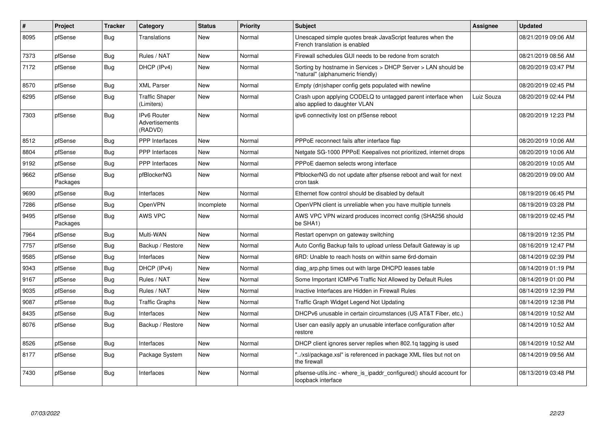| $\vert$ # | <b>Project</b>      | <b>Tracker</b> | Category                                        | <b>Status</b> | <b>Priority</b> | <b>Subject</b>                                                                                     | <b>Assignee</b> | <b>Updated</b>      |
|-----------|---------------------|----------------|-------------------------------------------------|---------------|-----------------|----------------------------------------------------------------------------------------------------|-----------------|---------------------|
| 8095      | pfSense             | Bug            | Translations                                    | New           | Normal          | Unescaped simple quotes break JavaScript features when the<br>French translation is enabled        |                 | 08/21/2019 09:06 AM |
| 7373      | pfSense             | Bug            | Rules / NAT                                     | <b>New</b>    | Normal          | Firewall schedules GUI needs to be redone from scratch                                             |                 | 08/21/2019 08:56 AM |
| 7172      | pfSense             | Bug            | DHCP (IPv4)                                     | <b>New</b>    | Normal          | Sorting by hostname in Services > DHCP Server > LAN should be<br>"natural" (alphanumeric friendly) |                 | 08/20/2019 03:47 PM |
| 8570      | pfSense             | Bug            | <b>XML Parser</b>                               | <b>New</b>    | Normal          | Empty (dn)shaper config gets populated with newline                                                |                 | 08/20/2019 02:45 PM |
| 6295      | pfSense             | <b>Bug</b>     | <b>Traffic Shaper</b><br>(Limiters)             | <b>New</b>    | Normal          | Crash upon applying CODELQ to untagged parent interface when<br>also applied to daughter VLAN      | Luiz Souza      | 08/20/2019 02:44 PM |
| 7303      | pfSense             | <b>Bug</b>     | <b>IPv6 Router</b><br>Advertisements<br>(RADVD) | New           | Normal          | ipv6 connectivity lost on pfSense reboot                                                           |                 | 08/20/2019 12:23 PM |
| 8512      | pfSense             | Bug            | <b>PPP</b> Interfaces                           | <b>New</b>    | Normal          | PPPoE reconnect fails after interface flap                                                         |                 | 08/20/2019 10:06 AM |
| 8804      | pfSense             | <b>Bug</b>     | <b>PPP</b> Interfaces                           | New           | Normal          | Netgate SG-1000 PPPoE Keepalives not prioritized, internet drops                                   |                 | 08/20/2019 10:06 AM |
| 9192      | pfSense             | Bug            | <b>PPP</b> Interfaces                           | <b>New</b>    | Normal          | PPPoE daemon selects wrong interface                                                               |                 | 08/20/2019 10:05 AM |
| 9662      | pfSense<br>Packages | Bug            | pfBlockerNG                                     | New           | Normal          | PfblockerNG do not update after pfsense reboot and wait for next<br>cron task                      |                 | 08/20/2019 09:00 AM |
| 9690      | pfSense             | <b>Bug</b>     | Interfaces                                      | <b>New</b>    | Normal          | Ethernet flow control should be disabled by default                                                |                 | 08/19/2019 06:45 PM |
| 7286      | pfSense             | <b>Bug</b>     | OpenVPN                                         | Incomplete    | Normal          | OpenVPN client is unreliable when you have multiple tunnels                                        |                 | 08/19/2019 03:28 PM |
| 9495      | pfSense<br>Packages | <b>Bug</b>     | <b>AWS VPC</b>                                  | <b>New</b>    | Normal          | AWS VPC VPN wizard produces incorrect config (SHA256 should<br>be SHA1)                            |                 | 08/19/2019 02:45 PM |
| 7964      | pfSense             | Bug            | Multi-WAN                                       | <b>New</b>    | Normal          | Restart openypn on gateway switching                                                               |                 | 08/19/2019 12:35 PM |
| 7757      | pfSense             | <b>Bug</b>     | Backup / Restore                                | New           | Normal          | Auto Config Backup fails to upload unless Default Gateway is up                                    |                 | 08/16/2019 12:47 PM |
| 9585      | pfSense             | Bug            | Interfaces                                      | New           | Normal          | 6RD: Unable to reach hosts on within same 6rd-domain                                               |                 | 08/14/2019 02:39 PM |
| 9343      | pfSense             | Bug            | DHCP (IPv4)                                     | New           | Normal          | diag arp.php times out with large DHCPD leases table                                               |                 | 08/14/2019 01:19 PM |
| 9167      | pfSense             | Bug            | Rules / NAT                                     | New           | Normal          | Some Important ICMPv6 Traffic Not Allowed by Default Rules                                         |                 | 08/14/2019 01:00 PM |
| 9035      | pfSense             | Bug            | Rules / NAT                                     | <b>New</b>    | Normal          | Inactive Interfaces are Hidden in Firewall Rules                                                   |                 | 08/14/2019 12:39 PM |
| 9087      | pfSense             | Bug            | <b>Traffic Graphs</b>                           | New           | Normal          | Traffic Graph Widget Legend Not Updating                                                           |                 | 08/14/2019 12:38 PM |
| 8435      | pfSense             | Bug            | Interfaces                                      | New           | Normal          | DHCPv6 unusable in certain circumstances (US AT&T Fiber, etc.)                                     |                 | 08/14/2019 10:52 AM |
| 8076      | pfSense             | Bug            | Backup / Restore                                | New           | Normal          | User can easily apply an unusable interface configuration after<br>restore                         |                 | 08/14/2019 10:52 AM |
| 8526      | pfSense             | Bug            | Interfaces                                      | New           | Normal          | DHCP client ignores server replies when 802.1g tagging is used                                     |                 | 08/14/2019 10:52 AM |
| 8177      | pfSense             | <b>Bug</b>     | Package System                                  | <b>New</b>    | Normal          | '/xsl/package.xsl" is referenced in package XML files but not on<br>the firewall                   |                 | 08/14/2019 09:56 AM |
| 7430      | pfSense             | <b>Bug</b>     | Interfaces                                      | <b>New</b>    | Normal          | pfsense-utils.inc - where_is_ipaddr_configured() should account for<br>loopback interface          |                 | 08/13/2019 03:48 PM |